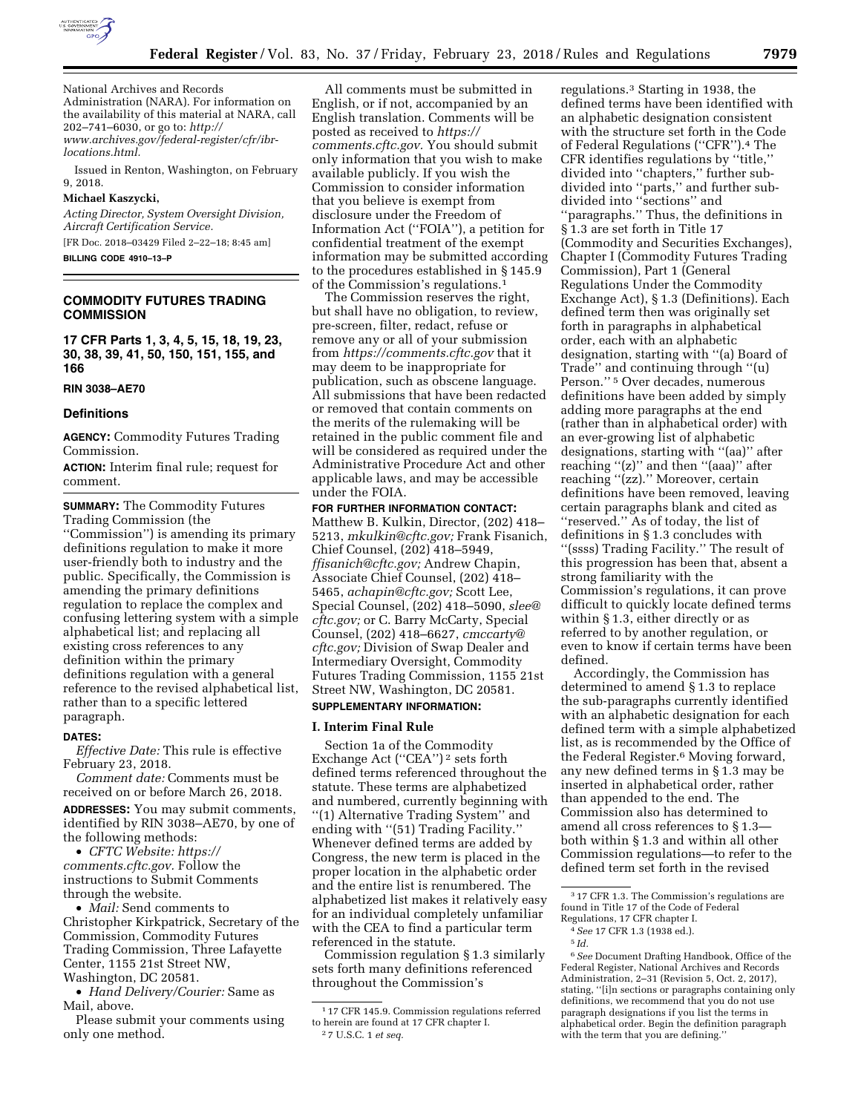

National Archives and Records Administration (NARA). For information on the availability of this material at NARA, call 202–741–6030, or go to: *[http://](http://www.archives.gov/federal-register/cfr/ibr-locations.html) [www.archives.gov/federal-register/cfr/ibr](http://www.archives.gov/federal-register/cfr/ibr-locations.html)[locations.html.](http://www.archives.gov/federal-register/cfr/ibr-locations.html)* 

Issued in Renton, Washington, on February 9, 2018.

#### **Michael Kaszycki,**

*Acting Director, System Oversight Division, Aircraft Certification Service.*  [FR Doc. 2018–03429 Filed 2–22–18; 8:45 am]

**BILLING CODE 4910–13–P** 

# **COMMODITY FUTURES TRADING COMMISSION**

**17 CFR Parts 1, 3, 4, 5, 15, 18, 19, 23, 30, 38, 39, 41, 50, 150, 151, 155, and 166** 

#### **RIN 3038–AE70**

#### **Definitions**

**AGENCY:** Commodity Futures Trading Commission.

**ACTION:** Interim final rule; request for comment.

**SUMMARY:** The Commodity Futures Trading Commission (the ''Commission'') is amending its primary definitions regulation to make it more user-friendly both to industry and the public. Specifically, the Commission is amending the primary definitions regulation to replace the complex and confusing lettering system with a simple alphabetical list; and replacing all existing cross references to any definition within the primary definitions regulation with a general reference to the revised alphabetical list, rather than to a specific lettered paragraph.

#### **DATES:**

*Effective Date:* This rule is effective February 23, 2018.

*Comment date:* Comments must be received on or before March 26, 2018.

**ADDRESSES:** You may submit comments, identified by RIN 3038–AE70, by one of the following methods:

• *CFTC Website: [https://](https://comments.cftc.gov) [comments.cftc.gov.](https://comments.cftc.gov)* Follow the instructions to Submit Comments through the website.

• *Mail:* Send comments to Christopher Kirkpatrick, Secretary of the Commission, Commodity Futures Trading Commission, Three Lafayette Center, 1155 21st Street NW, Washington, DC 20581.

• *Hand Delivery/Courier:* Same as Mail, above.

Please submit your comments using only one method.

All comments must be submitted in English, or if not, accompanied by an English translation. Comments will be posted as received to *[https://](https://comments.cftc.gov) [comments.cftc.gov.](https://comments.cftc.gov)* You should submit only information that you wish to make available publicly. If you wish the Commission to consider information that you believe is exempt from disclosure under the Freedom of Information Act (''FOIA''), a petition for confidential treatment of the exempt information may be submitted according to the procedures established in § 145.9 of the Commission's regulations.1

The Commission reserves the right, but shall have no obligation, to review, pre-screen, filter, redact, refuse or remove any or all of your submission from *<https://comments.cftc.gov>* that it may deem to be inappropriate for publication, such as obscene language. All submissions that have been redacted or removed that contain comments on the merits of the rulemaking will be retained in the public comment file and will be considered as required under the Administrative Procedure Act and other applicable laws, and may be accessible under the FOIA.

**FOR FURTHER INFORMATION CONTACT:**  Matthew B. Kulkin, Director, (202) 418– 5213, *[mkulkin@cftc.gov;](mailto:mkulkin@cftc.gov)* Frank Fisanich, Chief Counsel, (202) 418–5949, *[ffisanich@cftc.gov;](mailto:ffisanich@cftc.gov)* Andrew Chapin, Associate Chief Counsel, (202) 418– 5465, *[achapin@cftc.gov;](mailto:achapin@cftc.gov)* Scott Lee, Special Counsel, (202) 418–5090, *[slee@](mailto:slee@cftc.gov) [cftc.gov;](mailto:slee@cftc.gov)* or C. Barry McCarty, Special Counsel, (202) 418–6627, *[cmccarty@](mailto:cmccarty@cftc.gov) [cftc.gov;](mailto:cmccarty@cftc.gov)* Division of Swap Dealer and Intermediary Oversight, Commodity Futures Trading Commission, 1155 21st Street NW, Washington, DC 20581.

# **SUPPLEMENTARY INFORMATION:**

# **I. Interim Final Rule**

Section 1a of the Commodity Exchange Act (''CEA'') 2 sets forth defined terms referenced throughout the statute. These terms are alphabetized and numbered, currently beginning with ''(1) Alternative Trading System'' and ending with ''(51) Trading Facility.'' Whenever defined terms are added by Congress, the new term is placed in the proper location in the alphabetic order and the entire list is renumbered. The alphabetized list makes it relatively easy for an individual completely unfamiliar with the CEA to find a particular term referenced in the statute.

Commission regulation § 1.3 similarly sets forth many definitions referenced throughout the Commission's

regulations.3 Starting in 1938, the defined terms have been identified with an alphabetic designation consistent with the structure set forth in the Code of Federal Regulations (''CFR'').4 The CFR identifies regulations by ''title,'' divided into ''chapters,'' further subdivided into ''parts,'' and further subdivided into ''sections'' and ''paragraphs.'' Thus, the definitions in § 1.3 are set forth in Title 17 (Commodity and Securities Exchanges), Chapter I (Commodity Futures Trading Commission), Part 1 (General Regulations Under the Commodity Exchange Act), § 1.3 (Definitions). Each defined term then was originally set forth in paragraphs in alphabetical order, each with an alphabetic designation, starting with ''(a) Board of Trade'' and continuing through ''(u) Person.'' 5 Over decades, numerous definitions have been added by simply adding more paragraphs at the end (rather than in alphabetical order) with an ever-growing list of alphabetic designations, starting with ''(aa)'' after reaching "(z)" and then "(aaa)" after reaching "(zz)." Moreover, certain definitions have been removed, leaving certain paragraphs blank and cited as ''reserved.'' As of today, the list of definitions in § 1.3 concludes with ''(ssss) Trading Facility.'' The result of this progression has been that, absent a strong familiarity with the Commission's regulations, it can prove difficult to quickly locate defined terms within § 1.3, either directly or as referred to by another regulation, or even to know if certain terms have been defined.

Accordingly, the Commission has determined to amend § 1.3 to replace the sub-paragraphs currently identified with an alphabetic designation for each defined term with a simple alphabetized list, as is recommended by the Office of the Federal Register.6 Moving forward, any new defined terms in § 1.3 may be inserted in alphabetical order, rather than appended to the end. The Commission also has determined to amend all cross references to § 1.3 both within § 1.3 and within all other Commission regulations—to refer to the defined term set forth in the revised

6*See* Document Drafting Handbook, Office of the Federal Register, National Archives and Records Administration, 2–31 (Revision 5, Oct. 2, 2017), stating, ''[i]n sections or paragraphs containing only definitions, we recommend that you do not use paragraph designations if you list the terms in alphabetical order. Begin the definition paragraph with the term that you are defining.''

<sup>1</sup> 17 CFR 145.9. Commission regulations referred to herein are found at 17 CFR chapter I. 2 7 U.S.C. 1 *et seq.* 

<sup>&</sup>lt;sup>3</sup> 17 CFR 1.3. The Commission's regulations are found in Title 17 of the Code of Federal Regulations, 17 CFR chapter I.

<sup>4</sup>*See* 17 CFR 1.3 (1938 ed.).

<sup>5</sup> *Id.*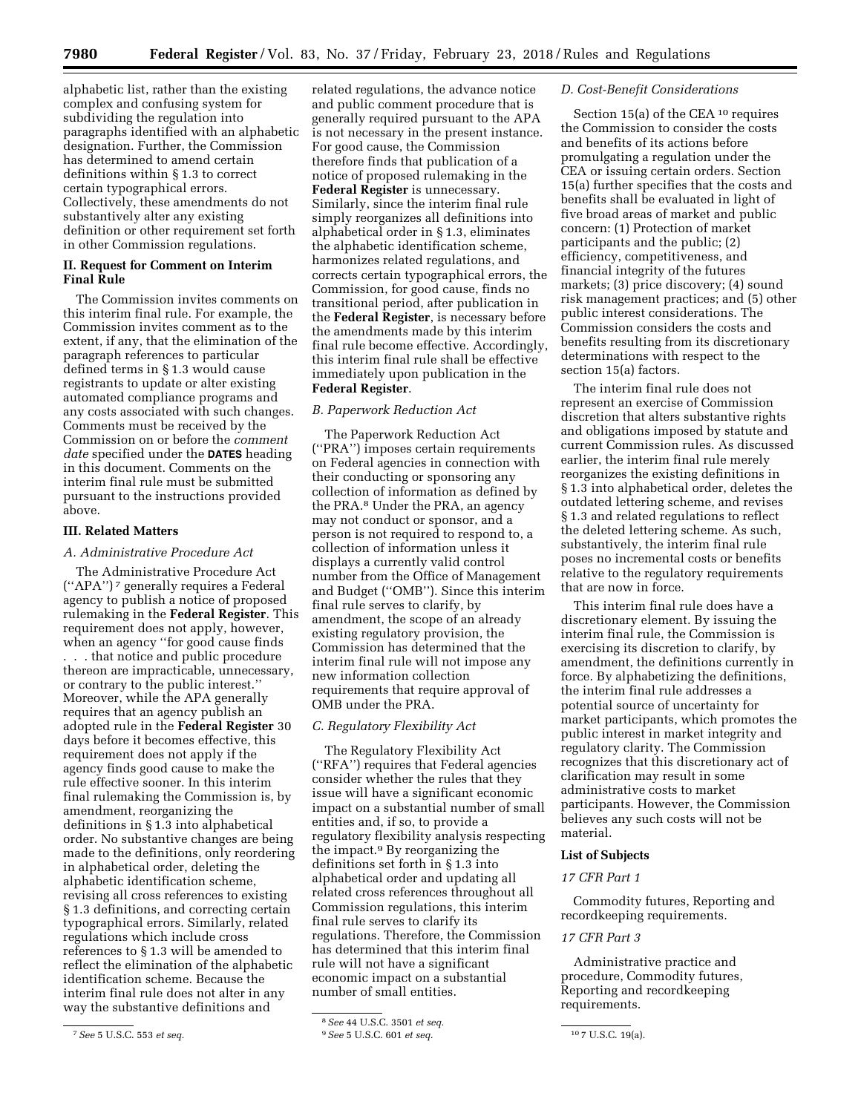alphabetic list, rather than the existing complex and confusing system for subdividing the regulation into paragraphs identified with an alphabetic designation. Further, the Commission has determined to amend certain definitions within § 1.3 to correct certain typographical errors. Collectively, these amendments do not substantively alter any existing definition or other requirement set forth in other Commission regulations.

# **II. Request for Comment on Interim Final Rule**

The Commission invites comments on this interim final rule. For example, the Commission invites comment as to the extent, if any, that the elimination of the paragraph references to particular defined terms in § 1.3 would cause registrants to update or alter existing automated compliance programs and any costs associated with such changes. Comments must be received by the Commission on or before the *comment date* specified under the **DATES** heading in this document. Comments on the interim final rule must be submitted pursuant to the instructions provided above.

# **III. Related Matters**

### *A. Administrative Procedure Act*

The Administrative Procedure Act (''APA'') 7 generally requires a Federal agency to publish a notice of proposed rulemaking in the **Federal Register**. This requirement does not apply, however, when an agency "for good cause finds . . . that notice and public procedure thereon are impracticable, unnecessary, or contrary to the public interest.'' Moreover, while the APA generally requires that an agency publish an adopted rule in the **Federal Register** 30 days before it becomes effective, this requirement does not apply if the agency finds good cause to make the rule effective sooner. In this interim final rulemaking the Commission is, by amendment, reorganizing the definitions in § 1.3 into alphabetical order. No substantive changes are being made to the definitions, only reordering in alphabetical order, deleting the alphabetic identification scheme, revising all cross references to existing § 1.3 definitions, and correcting certain typographical errors. Similarly, related regulations which include cross references to § 1.3 will be amended to reflect the elimination of the alphabetic identification scheme. Because the interim final rule does not alter in any way the substantive definitions and

related regulations, the advance notice and public comment procedure that is generally required pursuant to the APA is not necessary in the present instance. For good cause, the Commission therefore finds that publication of a notice of proposed rulemaking in the **Federal Register** is unnecessary. Similarly, since the interim final rule simply reorganizes all definitions into alphabetical order in § 1.3, eliminates the alphabetic identification scheme, harmonizes related regulations, and corrects certain typographical errors, the Commission, for good cause, finds no transitional period, after publication in the **Federal Register**, is necessary before the amendments made by this interim final rule become effective. Accordingly, this interim final rule shall be effective immediately upon publication in the **Federal Register**.

## *B. Paperwork Reduction Act*

The Paperwork Reduction Act (''PRA'') imposes certain requirements on Federal agencies in connection with their conducting or sponsoring any collection of information as defined by the PRA.8 Under the PRA, an agency may not conduct or sponsor, and a person is not required to respond to, a collection of information unless it displays a currently valid control number from the Office of Management and Budget (''OMB''). Since this interim final rule serves to clarify, by amendment, the scope of an already existing regulatory provision, the Commission has determined that the interim final rule will not impose any new information collection requirements that require approval of OMB under the PRA.

### *C. Regulatory Flexibility Act*

The Regulatory Flexibility Act (''RFA'') requires that Federal agencies consider whether the rules that they issue will have a significant economic impact on a substantial number of small entities and, if so, to provide a regulatory flexibility analysis respecting the impact.9 By reorganizing the definitions set forth in § 1.3 into alphabetical order and updating all related cross references throughout all Commission regulations, this interim final rule serves to clarify its regulations. Therefore, the Commission has determined that this interim final rule will not have a significant economic impact on a substantial number of small entities.

## *D. Cost-Benefit Considerations*

Section 15(a) of the CEA 10 requires the Commission to consider the costs and benefits of its actions before promulgating a regulation under the CEA or issuing certain orders. Section 15(a) further specifies that the costs and benefits shall be evaluated in light of five broad areas of market and public concern: (1) Protection of market participants and the public; (2) efficiency, competitiveness, and financial integrity of the futures markets; (3) price discovery; (4) sound risk management practices; and (5) other public interest considerations. The Commission considers the costs and benefits resulting from its discretionary determinations with respect to the section 15(a) factors.

The interim final rule does not represent an exercise of Commission discretion that alters substantive rights and obligations imposed by statute and current Commission rules. As discussed earlier, the interim final rule merely reorganizes the existing definitions in § 1.3 into alphabetical order, deletes the outdated lettering scheme, and revises § 1.3 and related regulations to reflect the deleted lettering scheme. As such, substantively, the interim final rule poses no incremental costs or benefits relative to the regulatory requirements that are now in force.

This interim final rule does have a discretionary element. By issuing the interim final rule, the Commission is exercising its discretion to clarify, by amendment, the definitions currently in force. By alphabetizing the definitions, the interim final rule addresses a potential source of uncertainty for market participants, which promotes the public interest in market integrity and regulatory clarity. The Commission recognizes that this discretionary act of clarification may result in some administrative costs to market participants. However, the Commission believes any such costs will not be material.

# **List of Subjects**

## *17 CFR Part 1*

Commodity futures, Reporting and recordkeeping requirements.

## *17 CFR Part 3*

Administrative practice and procedure, Commodity futures, Reporting and recordkeeping requirements.

<sup>7</sup>*See* 5 U.S.C. 553 *et seq.* 

<sup>8</sup>*See* 44 U.S.C. 3501 *et seq.* 

<sup>9</sup>*See* 5 U.S.C. 601 *et seq.* 10 7 U.S.C. 19(a).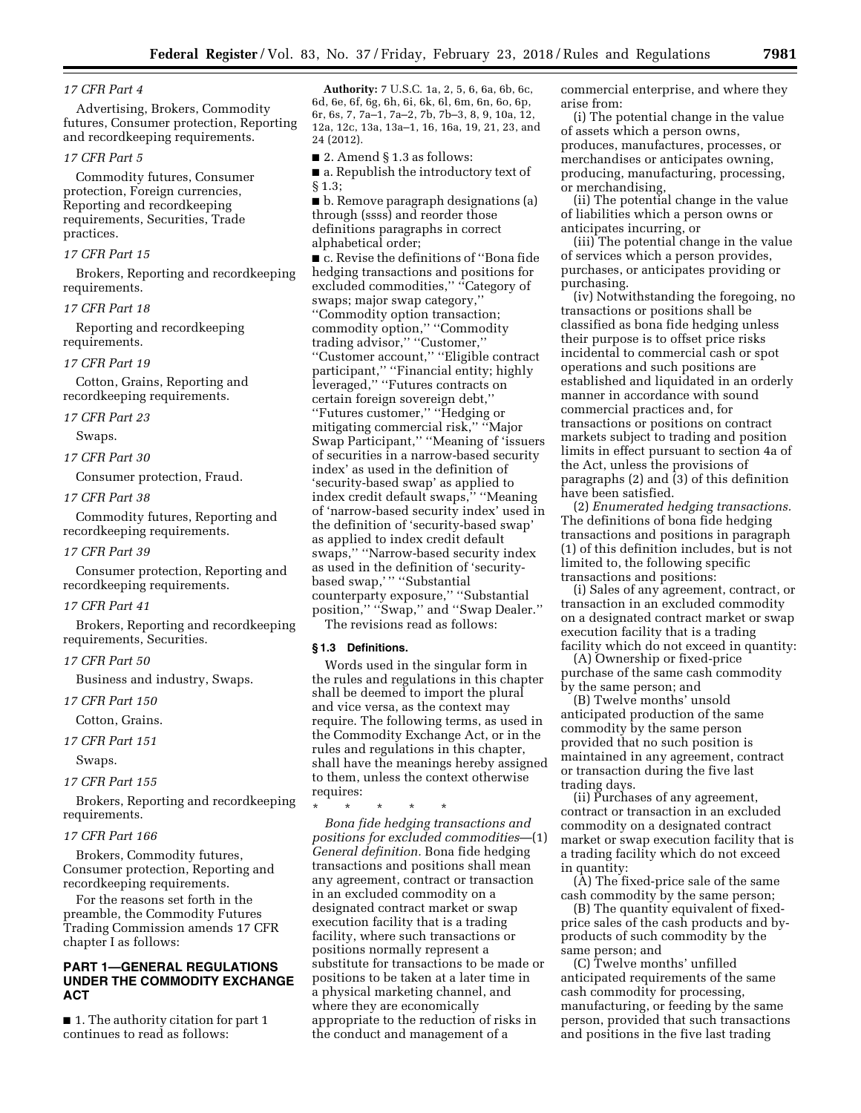## *17 CFR Part 4*

Advertising, Brokers, Commodity futures, Consumer protection, Reporting and recordkeeping requirements.

#### *17 CFR Part 5*

Commodity futures, Consumer protection, Foreign currencies, Reporting and recordkeeping requirements, Securities, Trade practices.

# *17 CFR Part 15*

Brokers, Reporting and recordkeeping requirements.

#### *17 CFR Part 18*

Reporting and recordkeeping requirements.

#### *17 CFR Part 19*

Cotton, Grains, Reporting and recordkeeping requirements.

# *17 CFR Part 23*

Swaps.

*17 CFR Part 30* 

Consumer protection, Fraud.

#### *17 CFR Part 38*

Commodity futures, Reporting and recordkeeping requirements.

#### *17 CFR Part 39*

Consumer protection, Reporting and recordkeeping requirements.

#### *17 CFR Part 41*

Brokers, Reporting and recordkeeping requirements, Securities.

#### *17 CFR Part 50*

Business and industry, Swaps.

*17 CFR Part 150* 

Cotton, Grains.

# *17 CFR Part 151*

Swaps.

## *17 CFR Part 155*

Brokers, Reporting and recordkeeping requirements.

## *17 CFR Part 166*

Brokers, Commodity futures, Consumer protection, Reporting and recordkeeping requirements.

For the reasons set forth in the preamble, the Commodity Futures Trading Commission amends 17 CFR chapter I as follows:

# **PART 1—GENERAL REGULATIONS UNDER THE COMMODITY EXCHANGE ACT**

■ 1. The authority citation for part 1 continues to read as follows:

**Authority:** 7 U.S.C. 1a, 2, 5, 6, 6a, 6b, 6c, 6d, 6e, 6f, 6g, 6h, 6i, 6k, 6l, 6m, 6n, 6o, 6p, 6r, 6s, 7, 7a–1, 7a–2, 7b, 7b–3, 8, 9, 10a, 12, 12a, 12c, 13a, 13a–1, 16, 16a, 19, 21, 23, and 24 (2012).

■ 2. Amend § 1.3 as follows:

■ a. Republish the introductory text of § 1.3;

■ b. Remove paragraph designations (a) through (ssss) and reorder those definitions paragraphs in correct alphabetical order;

■ c. Revise the definitions of ''Bona fide hedging transactions and positions for excluded commodities," "Category of swaps; major swap category,'' ''Commodity option transaction; commodity option,'' ''Commodity trading advisor,'' ''Customer,'' ''Customer account,'' ''Eligible contract participant,'' ''Financial entity; highly leveraged,'' ''Futures contracts on certain foreign sovereign debt,'' ''Futures customer,'' ''Hedging or mitigating commercial risk,'' ''Major Swap Participant,'' ''Meaning of 'issuers of securities in a narrow-based security index' as used in the definition of 'security-based swap' as applied to index credit default swaps,'' ''Meaning of 'narrow-based security index' used in the definition of 'security-based swap' as applied to index credit default swaps,'' ''Narrow-based security index as used in the definition of 'securitybased swap,'" "Substantial counterparty exposure,'' ''Substantial position,'' ''Swap,'' and ''Swap Dealer.'' The revisions read as follows:

# **§ 1.3 Definitions.**

Words used in the singular form in the rules and regulations in this chapter shall be deemed to import the plural and vice versa, as the context may require. The following terms, as used in the Commodity Exchange Act, or in the rules and regulations in this chapter, shall have the meanings hereby assigned to them, unless the context otherwise requires:

\* \* \* \* \*

*Bona fide hedging transactions and positions for excluded commodities*—(1) *General definition.* Bona fide hedging transactions and positions shall mean any agreement, contract or transaction in an excluded commodity on a designated contract market or swap execution facility that is a trading facility, where such transactions or positions normally represent a substitute for transactions to be made or positions to be taken at a later time in a physical marketing channel, and where they are economically appropriate to the reduction of risks in the conduct and management of a

commercial enterprise, and where they arise from:

(i) The potential change in the value of assets which a person owns, produces, manufactures, processes, or merchandises or anticipates owning, producing, manufacturing, processing, or merchandising,

(ii) The potential change in the value of liabilities which a person owns or anticipates incurring, or

(iii) The potential change in the value of services which a person provides, purchases, or anticipates providing or purchasing.

(iv) Notwithstanding the foregoing, no transactions or positions shall be classified as bona fide hedging unless their purpose is to offset price risks incidental to commercial cash or spot operations and such positions are established and liquidated in an orderly manner in accordance with sound commercial practices and, for transactions or positions on contract markets subject to trading and position limits in effect pursuant to section 4a of the Act, unless the provisions of paragraphs (2) and (3) of this definition have been satisfied.

(2) *Enumerated hedging transactions.*  The definitions of bona fide hedging transactions and positions in paragraph (1) of this definition includes, but is not limited to, the following specific transactions and positions:

(i) Sales of any agreement, contract, or transaction in an excluded commodity on a designated contract market or swap execution facility that is a trading facility which do not exceed in quantity:

(A) Ownership or fixed-price purchase of the same cash commodity by the same person; and

(B) Twelve months' unsold anticipated production of the same commodity by the same person provided that no such position is maintained in any agreement, contract or transaction during the five last trading days.

(ii) Purchases of any agreement, contract or transaction in an excluded commodity on a designated contract market or swap execution facility that is a trading facility which do not exceed in quantity:

(A) The fixed-price sale of the same cash commodity by the same person;

(B) The quantity equivalent of fixedprice sales of the cash products and byproducts of such commodity by the same person; and

(C) Twelve months' unfilled anticipated requirements of the same cash commodity for processing, manufacturing, or feeding by the same person, provided that such transactions and positions in the five last trading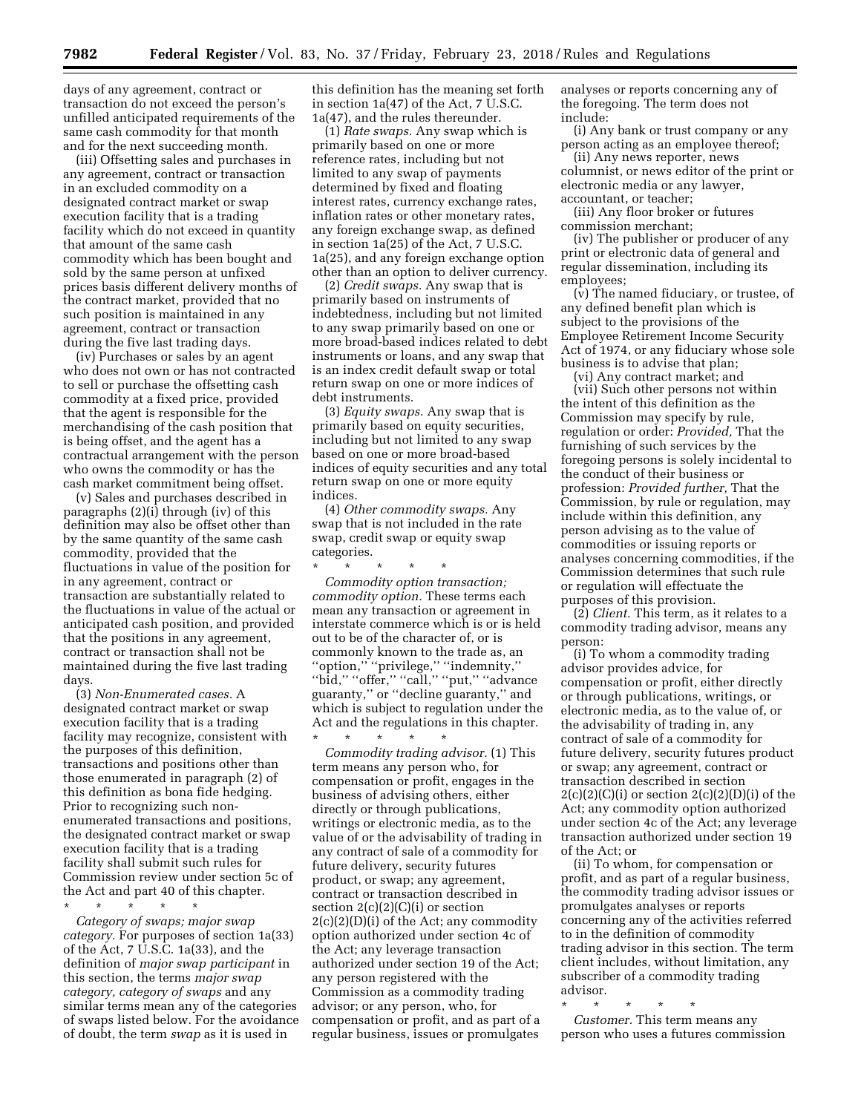days of any agreement, contract or transaction do not exceed the person's unfilled anticipated requirements of the same cash commodity for that month and for the next succeeding month.

(iii) Offsetting sales and purchases in any agreement, contract or transaction in an excluded commodity on a designated contract market or swap execution facility that is a trading facility which do not exceed in quantity that amount of the same cash commodity which has been bought and sold by the same person at unfixed prices basis different delivery months of the contract market, provided that no such position is maintained in any agreement, contract or transaction during the five last trading days.

(iv) Purchases or sales by an agent who does not own or has not contracted to sell or purchase the offsetting cash commodity at a fixed price, provided that the agent is responsible for the merchandising of the cash position that is being offset, and the agent has a contractual arrangement with the person who owns the commodity or has the cash market commitment being offset.

(v) Sales and purchases described in paragraphs (2)(i) through (iv) of this definition may also be offset other than by the same quantity of the same cash commodity, provided that the fluctuations in value of the position for in any agreement, contract or transaction are substantially related to the fluctuations in value of the actual or anticipated cash position, and provided that the positions in any agreement, contract or transaction shall not be maintained during the five last trading days.

(3) *Non-Enumerated cases.* A designated contract market or swap execution facility that is a trading facility may recognize, consistent with the purposes of this definition, transactions and positions other than those enumerated in paragraph (2) of this definition as bona fide hedging. Prior to recognizing such nonenumerated transactions and positions, the designated contract market or swap execution facility that is a trading facility shall submit such rules for Commission review under section 5c of the Act and part 40 of this chapter.

\* \* \* \* \* *Category of swaps; major swap category.* For purposes of section 1a(33) of the Act, 7 U.S.C. 1a(33), and the definition of *major swap participant* in this section, the terms *major swap category, category of swaps* and any similar terms mean any of the categories of swaps listed below. For the avoidance of doubt, the term *swap* as it is used in

this definition has the meaning set forth in section 1a(47) of the Act, 7 U.S.C. 1a(47), and the rules thereunder.

(1) *Rate swaps.* Any swap which is primarily based on one or more reference rates, including but not limited to any swap of payments determined by fixed and floating interest rates, currency exchange rates, inflation rates or other monetary rates, any foreign exchange swap, as defined in section 1a(25) of the Act, 7 U.S.C. 1a(25), and any foreign exchange option other than an option to deliver currency.

(2) *Credit swaps.* Any swap that is primarily based on instruments of indebtedness, including but not limited to any swap primarily based on one or more broad-based indices related to debt instruments or loans, and any swap that is an index credit default swap or total return swap on one or more indices of debt instruments.

(3) *Equity swaps.* Any swap that is primarily based on equity securities, including but not limited to any swap based on one or more broad-based indices of equity securities and any total return swap on one or more equity indices.

(4) *Other commodity swaps.* Any swap that is not included in the rate swap, credit swap or equity swap categories.

\* \* \* \* \* *Commodity option transaction; commodity option.* These terms each mean any transaction or agreement in interstate commerce which is or is held out to be of the character of, or is commonly known to the trade as, an ''option,'' ''privilege,'' ''indemnity,'' ''bid,'' ''offer,'' ''call,'' ''put,'' ''advance guaranty,'' or ''decline guaranty,'' and which is subject to regulation under the Act and the regulations in this chapter. \* \* \* \* \*

*Commodity trading advisor.* (1) This term means any person who, for compensation or profit, engages in the business of advising others, either directly or through publications, writings or electronic media, as to the value of or the advisability of trading in any contract of sale of a commodity for future delivery, security futures product, or swap; any agreement, contract or transaction described in section  $2(c)(2)(C)(i)$  or section 2(c)(2)(D)(i) of the Act; any commodity option authorized under section 4c of the Act; any leverage transaction authorized under section 19 of the Act; any person registered with the Commission as a commodity trading advisor; or any person, who, for compensation or profit, and as part of a regular business, issues or promulgates

analyses or reports concerning any of the foregoing. The term does not include:

(i) Any bank or trust company or any person acting as an employee thereof;

(ii) Any news reporter, news columnist, or news editor of the print or electronic media or any lawyer, accountant, or teacher;

(iii) Any floor broker or futures commission merchant;

(iv) The publisher or producer of any print or electronic data of general and regular dissemination, including its employees;

(v) The named fiduciary, or trustee, of any defined benefit plan which is subject to the provisions of the Employee Retirement Income Security Act of 1974, or any fiduciary whose sole business is to advise that plan;

(vi) Any contract market; and (vii) Such other persons not within the intent of this definition as the Commission may specify by rule, regulation or order: *Provided,* That the furnishing of such services by the foregoing persons is solely incidental to the conduct of their business or profession: *Provided further,* That the Commission, by rule or regulation, may include within this definition, any person advising as to the value of commodities or issuing reports or analyses concerning commodities, if the Commission determines that such rule or regulation will effectuate the purposes of this provision.

(2) *Client.* This term, as it relates to a commodity trading advisor, means any person:

(i) To whom a commodity trading advisor provides advice, for compensation or profit, either directly or through publications, writings, or electronic media, as to the value of, or the advisability of trading in, any contract of sale of a commodity for future delivery, security futures product or swap; any agreement, contract or transaction described in section  $2(c)(2)(C)(i)$  or section  $2(c)(2)(D)(i)$  of the Act; any commodity option authorized under section 4c of the Act; any leverage transaction authorized under section 19 of the Act; or

(ii) To whom, for compensation or profit, and as part of a regular business, the commodity trading advisor issues or promulgates analyses or reports concerning any of the activities referred to in the definition of commodity trading advisor in this section. The term client includes, without limitation, any subscriber of a commodity trading advisor.

\* \* \* \* \*

*Customer.* This term means any person who uses a futures commission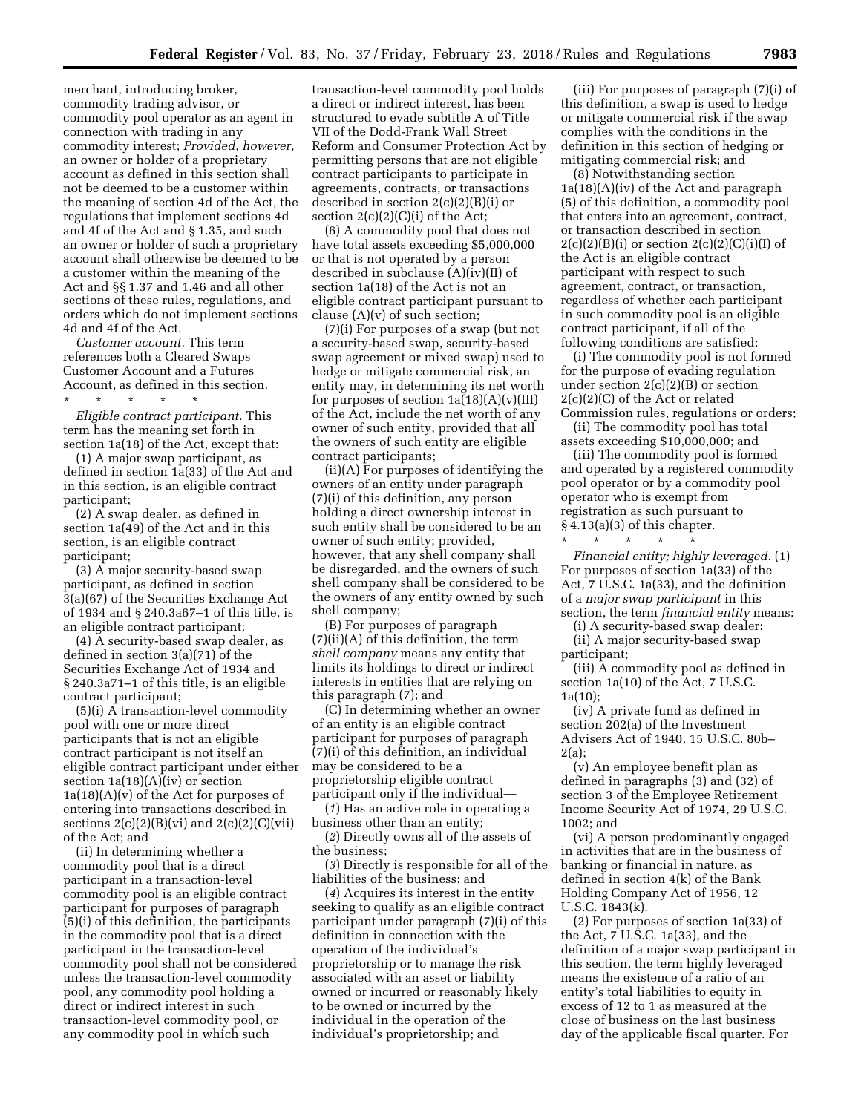merchant, introducing broker, commodity trading advisor, or commodity pool operator as an agent in connection with trading in any commodity interest; *Provided, however,*  an owner or holder of a proprietary account as defined in this section shall not be deemed to be a customer within the meaning of section 4d of the Act, the regulations that implement sections 4d and 4f of the Act and § 1.35, and such an owner or holder of such a proprietary account shall otherwise be deemed to be a customer within the meaning of the Act and §§ 1.37 and 1.46 and all other sections of these rules, regulations, and orders which do not implement sections 4d and 4f of the Act.

*Customer account.* This term references both a Cleared Swaps Customer Account and a Futures Account, as defined in this section.

\* \* \* \* \* *Eligible contract participant.* This term has the meaning set forth in section 1a(18) of the Act, except that:

(1) A major swap participant, as defined in section 1a(33) of the Act and in this section, is an eligible contract participant;

(2) A swap dealer, as defined in section 1a(49) of the Act and in this section, is an eligible contract participant;

(3) A major security-based swap participant, as defined in section 3(a)(67) of the Securities Exchange Act of 1934 and § 240.3a67–1 of this title, is an eligible contract participant;

(4) A security-based swap dealer, as defined in section 3(a)(71) of the Securities Exchange Act of 1934 and § 240.3a71–1 of this title, is an eligible contract participant;

(5)(i) A transaction-level commodity pool with one or more direct participants that is not an eligible contract participant is not itself an eligible contract participant under either section 1a(18)(A)(iv) or section  $1a(18)(A)(v)$  of the Act for purposes of entering into transactions described in sections  $2(c)(2)(B)(vi)$  and  $2(c)(2)(C)(vii)$ of the Act; and

(ii) In determining whether a commodity pool that is a direct participant in a transaction-level commodity pool is an eligible contract participant for purposes of paragraph (5)(i) of this definition, the participants in the commodity pool that is a direct participant in the transaction-level commodity pool shall not be considered unless the transaction-level commodity pool, any commodity pool holding a direct or indirect interest in such transaction-level commodity pool, or any commodity pool in which such

transaction-level commodity pool holds a direct or indirect interest, has been structured to evade subtitle A of Title VII of the Dodd-Frank Wall Street Reform and Consumer Protection Act by permitting persons that are not eligible contract participants to participate in agreements, contracts, or transactions described in section 2(c)(2)(B)(i) or section 2(c)(2)(C)(i) of the Act;

(6) A commodity pool that does not have total assets exceeding \$5,000,000 or that is not operated by a person described in subclause (A)(iv)(II) of section 1a(18) of the Act is not an eligible contract participant pursuant to clause  $(A)(v)$  of such section;

(7)(i) For purposes of a swap (but not a security-based swap, security-based swap agreement or mixed swap) used to hedge or mitigate commercial risk, an entity may, in determining its net worth for purposes of section  $1a(18)(A)(v)(III)$ of the Act, include the net worth of any owner of such entity, provided that all the owners of such entity are eligible contract participants;

(ii)(A) For purposes of identifying the owners of an entity under paragraph (7)(i) of this definition, any person holding a direct ownership interest in such entity shall be considered to be an owner of such entity; provided, however, that any shell company shall be disregarded, and the owners of such shell company shall be considered to be the owners of any entity owned by such shell company;

(B) For purposes of paragraph (7)(ii)(A) of this definition, the term *shell company* means any entity that limits its holdings to direct or indirect interests in entities that are relying on this paragraph (7); and

(C) In determining whether an owner of an entity is an eligible contract participant for purposes of paragraph (7)(i) of this definition, an individual may be considered to be a proprietorship eligible contract participant only if the individual—

(*1*) Has an active role in operating a business other than an entity;

(*2*) Directly owns all of the assets of the business;

(*3*) Directly is responsible for all of the liabilities of the business; and

(*4*) Acquires its interest in the entity seeking to qualify as an eligible contract participant under paragraph (7)(i) of this definition in connection with the operation of the individual's proprietorship or to manage the risk associated with an asset or liability owned or incurred or reasonably likely to be owned or incurred by the individual in the operation of the individual's proprietorship; and

(iii) For purposes of paragraph (7)(i) of this definition, a swap is used to hedge or mitigate commercial risk if the swap complies with the conditions in the definition in this section of hedging or mitigating commercial risk; and

(8) Notwithstanding section  $1a(18)(A)(iv)$  of the Act and paragraph (5) of this definition, a commodity pool that enters into an agreement, contract, or transaction described in section  $2(c)(2)(B)(i)$  or section  $2(c)(2)(C)(i)(I)$  of the Act is an eligible contract participant with respect to such agreement, contract, or transaction, regardless of whether each participant in such commodity pool is an eligible contract participant, if all of the following conditions are satisfied:

(i) The commodity pool is not formed for the purpose of evading regulation under section  $2(c)(2)(B)$  or section 2(c)(2)(C) of the Act or related Commission rules, regulations or orders;

(ii) The commodity pool has total assets exceeding \$10,000,000; and

(iii) The commodity pool is formed and operated by a registered commodity pool operator or by a commodity pool operator who is exempt from registration as such pursuant to § 4.13(a)(3) of this chapter.

*Financial entity; highly leveraged.* (1) For purposes of section 1a(33) of the Act, 7 U.S.C. 1a(33), and the definition of a *major swap participant* in this section, the term *financial entity* means:

(i) A security-based swap dealer;

\* \* \* \* \*

(ii) A major security-based swap participant;

(iii) A commodity pool as defined in section 1a(10) of the Act, 7 U.S.C. 1a(10);

(iv) A private fund as defined in section 202(a) of the Investment Advisers Act of 1940, 15 U.S.C. 80b–  $2(a)$ ;

(v) An employee benefit plan as defined in paragraphs (3) and (32) of section 3 of the Employee Retirement Income Security Act of 1974, 29 U.S.C. 1002; and

(vi) A person predominantly engaged in activities that are in the business of banking or financial in nature, as defined in section 4(k) of the Bank Holding Company Act of 1956, 12 U.S.C. 1843(k).

(2) For purposes of section 1a(33) of the Act, 7 U.S.C. 1a(33), and the definition of a major swap participant in this section, the term highly leveraged means the existence of a ratio of an entity's total liabilities to equity in excess of 12 to 1 as measured at the close of business on the last business day of the applicable fiscal quarter. For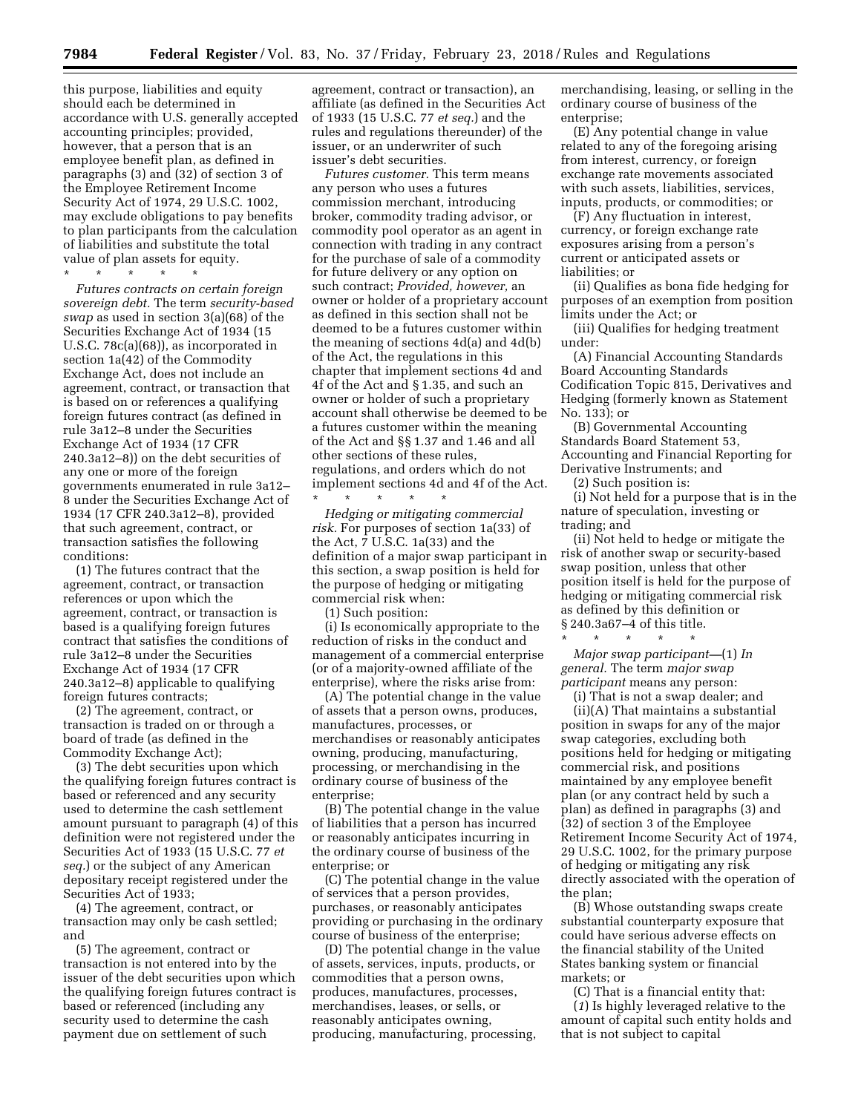this purpose, liabilities and equity should each be determined in accordance with U.S. generally accepted accounting principles; provided, however, that a person that is an employee benefit plan, as defined in paragraphs (3) and (32) of section 3 of the Employee Retirement Income Security Act of 1974, 29 U.S.C. 1002, may exclude obligations to pay benefits to plan participants from the calculation of liabilities and substitute the total value of plan assets for equity.

\* \* \* \* \*

*Futures contracts on certain foreign sovereign debt.* The term *security-based swap* as used in section 3(a)(68) of the Securities Exchange Act of 1934 (15 U.S.C. 78c(a)(68)), as incorporated in section 1a(42) of the Commodity Exchange Act, does not include an agreement, contract, or transaction that is based on or references a qualifying foreign futures contract (as defined in rule 3a12–8 under the Securities Exchange Act of 1934 (17 CFR 240.3a12–8)) on the debt securities of any one or more of the foreign governments enumerated in rule 3a12– 8 under the Securities Exchange Act of 1934 (17 CFR 240.3a12–8), provided that such agreement, contract, or transaction satisfies the following conditions:

(1) The futures contract that the agreement, contract, or transaction references or upon which the agreement, contract, or transaction is based is a qualifying foreign futures contract that satisfies the conditions of rule 3a12–8 under the Securities Exchange Act of 1934 (17 CFR 240.3a12–8) applicable to qualifying foreign futures contracts;

(2) The agreement, contract, or transaction is traded on or through a board of trade (as defined in the Commodity Exchange Act);

(3) The debt securities upon which the qualifying foreign futures contract is based or referenced and any security used to determine the cash settlement amount pursuant to paragraph (4) of this definition were not registered under the Securities Act of 1933 (15 U.S.C. 77 *et seq.*) or the subject of any American depositary receipt registered under the Securities Act of 1933;

(4) The agreement, contract, or transaction may only be cash settled; and

(5) The agreement, contract or transaction is not entered into by the issuer of the debt securities upon which the qualifying foreign futures contract is based or referenced (including any security used to determine the cash payment due on settlement of such

agreement, contract or transaction), an affiliate (as defined in the Securities Act of 1933 (15 U.S.C. 77 *et seq.*) and the rules and regulations thereunder) of the issuer, or an underwriter of such issuer's debt securities.

*Futures customer.* This term means any person who uses a futures commission merchant, introducing broker, commodity trading advisor, or commodity pool operator as an agent in connection with trading in any contract for the purchase of sale of a commodity for future delivery or any option on such contract; *Provided, however,* an owner or holder of a proprietary account as defined in this section shall not be deemed to be a futures customer within the meaning of sections 4d(a) and 4d(b) of the Act, the regulations in this chapter that implement sections 4d and 4f of the Act and § 1.35, and such an owner or holder of such a proprietary account shall otherwise be deemed to be a futures customer within the meaning of the Act and §§ 1.37 and 1.46 and all other sections of these rules, regulations, and orders which do not implement sections 4d and 4f of the Act. \* \* \* \* \*

*Hedging or mitigating commercial risk.* For purposes of section 1a(33) of the Act, 7 U.S.C. 1a(33) and the definition of a major swap participant in this section, a swap position is held for the purpose of hedging or mitigating commercial risk when:

(1) Such position:

(i) Is economically appropriate to the reduction of risks in the conduct and management of a commercial enterprise (or of a majority-owned affiliate of the enterprise), where the risks arise from:

(A) The potential change in the value of assets that a person owns, produces, manufactures, processes, or merchandises or reasonably anticipates owning, producing, manufacturing, processing, or merchandising in the ordinary course of business of the enterprise;

(B) The potential change in the value of liabilities that a person has incurred or reasonably anticipates incurring in the ordinary course of business of the enterprise; or

(C) The potential change in the value of services that a person provides, purchases, or reasonably anticipates providing or purchasing in the ordinary course of business of the enterprise;

(D) The potential change in the value of assets, services, inputs, products, or commodities that a person owns, produces, manufactures, processes, merchandises, leases, or sells, or reasonably anticipates owning, producing, manufacturing, processing,

merchandising, leasing, or selling in the ordinary course of business of the enterprise;

(E) Any potential change in value related to any of the foregoing arising from interest, currency, or foreign exchange rate movements associated with such assets, liabilities, services, inputs, products, or commodities; or

(F) Any fluctuation in interest, currency, or foreign exchange rate exposures arising from a person's current or anticipated assets or liabilities; or

(ii) Qualifies as bona fide hedging for purposes of an exemption from position limits under the Act; or

(iii) Qualifies for hedging treatment under:

(A) Financial Accounting Standards Board Accounting Standards Codification Topic 815, Derivatives and Hedging (formerly known as Statement No. 133); or

(B) Governmental Accounting Standards Board Statement 53, Accounting and Financial Reporting for Derivative Instruments; and

(2) Such position is:

(i) Not held for a purpose that is in the nature of speculation, investing or trading; and

(ii) Not held to hedge or mitigate the risk of another swap or security-based swap position, unless that other position itself is held for the purpose of hedging or mitigating commercial risk as defined by this definition or § 240.3a67–4 of this title.

\* \* \* \* \* *Major swap participant—*(1) *In general.* The term *major swap participant* means any person:

(i) That is not a swap dealer; and

(ii)(A) That maintains a substantial position in swaps for any of the major swap categories, excluding both positions held for hedging or mitigating commercial risk, and positions maintained by any employee benefit plan (or any contract held by such a plan) as defined in paragraphs (3) and (32) of section 3 of the Employee Retirement Income Security Act of 1974, 29 U.S.C. 1002, for the primary purpose of hedging or mitigating any risk directly associated with the operation of the plan;

(B) Whose outstanding swaps create substantial counterparty exposure that could have serious adverse effects on the financial stability of the United States banking system or financial markets; or

(C) That is a financial entity that: (*1*) Is highly leveraged relative to the amount of capital such entity holds and that is not subject to capital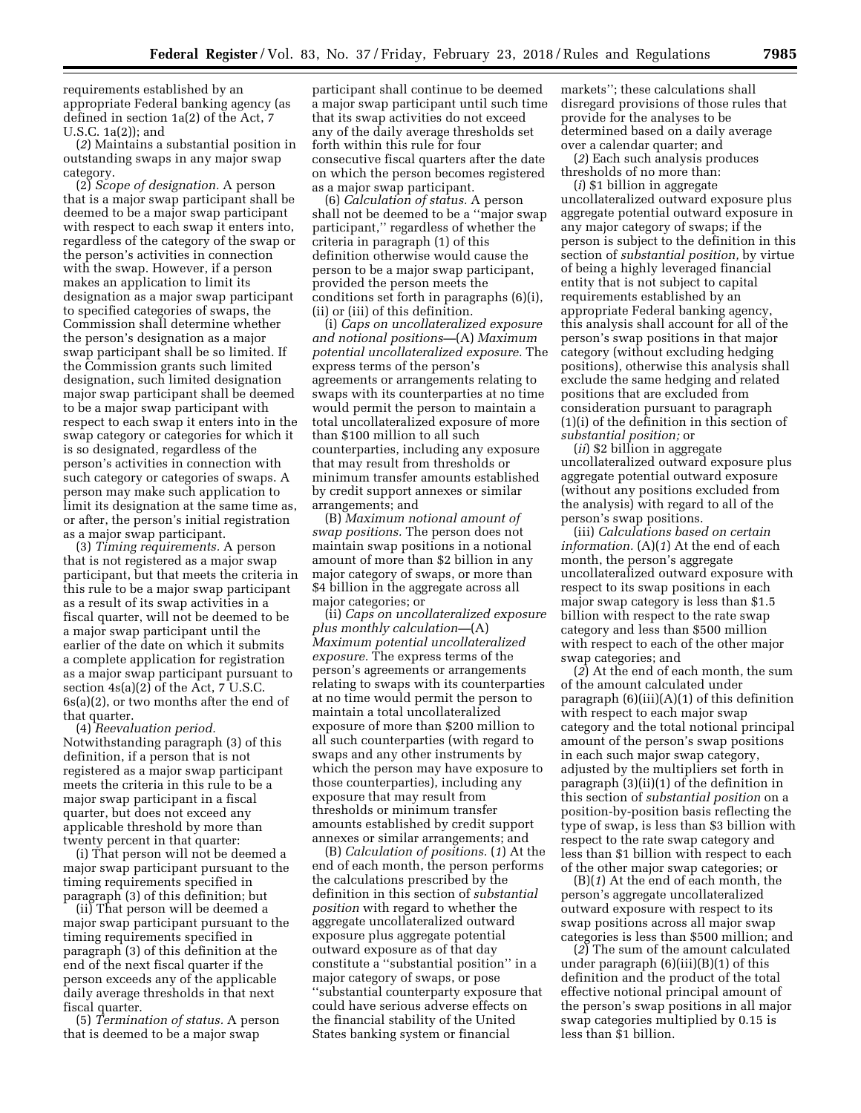requirements established by an appropriate Federal banking agency (as defined in section 1a(2) of the Act, 7 U.S.C. 1a(2)); and

(*2*) Maintains a substantial position in outstanding swaps in any major swap category.

(2) *Scope of designation.* A person that is a major swap participant shall be deemed to be a major swap participant with respect to each swap it enters into, regardless of the category of the swap or the person's activities in connection with the swap. However, if a person makes an application to limit its designation as a major swap participant to specified categories of swaps, the Commission shall determine whether the person's designation as a major swap participant shall be so limited. If the Commission grants such limited designation, such limited designation major swap participant shall be deemed to be a major swap participant with respect to each swap it enters into in the swap category or categories for which it is so designated, regardless of the person's activities in connection with such category or categories of swaps. A person may make such application to limit its designation at the same time as, or after, the person's initial registration as a major swap participant.

(3) *Timing requirements.* A person that is not registered as a major swap participant, but that meets the criteria in this rule to be a major swap participant as a result of its swap activities in a fiscal quarter, will not be deemed to be a major swap participant until the earlier of the date on which it submits a complete application for registration as a major swap participant pursuant to section 4s(a)(2) of the Act, 7 U.S.C. 6s(a)(2), or two months after the end of that quarter.

(4) *Reevaluation period.*  Notwithstanding paragraph (3) of this definition, if a person that is not registered as a major swap participant meets the criteria in this rule to be a major swap participant in a fiscal quarter, but does not exceed any applicable threshold by more than twenty percent in that quarter:

(i) That person will not be deemed a major swap participant pursuant to the timing requirements specified in paragraph (3) of this definition; but

(ii) That person will be deemed a major swap participant pursuant to the timing requirements specified in paragraph (3) of this definition at the end of the next fiscal quarter if the person exceeds any of the applicable daily average thresholds in that next fiscal quarter.

(5) *Termination of status.* A person that is deemed to be a major swap

participant shall continue to be deemed a major swap participant until such time that its swap activities do not exceed any of the daily average thresholds set forth within this rule for four consecutive fiscal quarters after the date on which the person becomes registered as a major swap participant.

(6) *Calculation of status.* A person shall not be deemed to be a ''major swap participant,'' regardless of whether the criteria in paragraph (1) of this definition otherwise would cause the person to be a major swap participant, provided the person meets the conditions set forth in paragraphs (6)(i), (ii) or (iii) of this definition.

(i) *Caps on uncollateralized exposure and notional positions—*(A) *Maximum potential uncollateralized exposure.* The express terms of the person's agreements or arrangements relating to swaps with its counterparties at no time would permit the person to maintain a total uncollateralized exposure of more than \$100 million to all such counterparties, including any exposure that may result from thresholds or minimum transfer amounts established by credit support annexes or similar arrangements; and

(B) *Maximum notional amount of swap positions.* The person does not maintain swap positions in a notional amount of more than \$2 billion in any major category of swaps, or more than \$4 billion in the aggregate across all major categories; or

(ii) *Caps on uncollateralized exposure plus monthly calculation—*(A) *Maximum potential uncollateralized exposure.* The express terms of the person's agreements or arrangements relating to swaps with its counterparties at no time would permit the person to maintain a total uncollateralized exposure of more than \$200 million to all such counterparties (with regard to swaps and any other instruments by which the person may have exposure to those counterparties), including any exposure that may result from thresholds or minimum transfer amounts established by credit support annexes or similar arrangements; and

(B) *Calculation of positions.* (*1*) At the end of each month, the person performs the calculations prescribed by the definition in this section of *substantial position* with regard to whether the aggregate uncollateralized outward exposure plus aggregate potential outward exposure as of that day constitute a ''substantial position'' in a major category of swaps, or pose ''substantial counterparty exposure that could have serious adverse effects on the financial stability of the United States banking system or financial

markets''; these calculations shall disregard provisions of those rules that provide for the analyses to be determined based on a daily average over a calendar quarter; and

(*2*) Each such analysis produces thresholds of no more than:

(*i*) \$1 billion in aggregate uncollateralized outward exposure plus aggregate potential outward exposure in any major category of swaps; if the person is subject to the definition in this section of *substantial position,* by virtue of being a highly leveraged financial entity that is not subject to capital requirements established by an appropriate Federal banking agency, this analysis shall account for all of the person's swap positions in that major category (without excluding hedging positions), otherwise this analysis shall exclude the same hedging and related positions that are excluded from consideration pursuant to paragraph (1)(i) of the definition in this section of *substantial position;* or

(*ii*) \$2 billion in aggregate uncollateralized outward exposure plus aggregate potential outward exposure (without any positions excluded from the analysis) with regard to all of the person's swap positions.

(iii) *Calculations based on certain information.* (A)(*1*) At the end of each month, the person's aggregate uncollateralized outward exposure with respect to its swap positions in each major swap category is less than \$1.5 billion with respect to the rate swap category and less than \$500 million with respect to each of the other major swap categories; and

(*2*) At the end of each month, the sum of the amount calculated under paragraph  $(6)(iii)(A)(1)$  of this definition with respect to each major swap category and the total notional principal amount of the person's swap positions in each such major swap category, adjusted by the multipliers set forth in paragraph (3)(ii)(1) of the definition in this section of *substantial position* on a position-by-position basis reflecting the type of swap, is less than \$3 billion with respect to the rate swap category and less than \$1 billion with respect to each of the other major swap categories; or

(B)(*1*) At the end of each month, the person's aggregate uncollateralized outward exposure with respect to its swap positions across all major swap categories is less than \$500 million; and

(*2*) The sum of the amount calculated under paragraph  $(6)(iii)(B)(1)$  of this definition and the product of the total effective notional principal amount of the person's swap positions in all major swap categories multiplied by 0.15 is less than \$1 billion.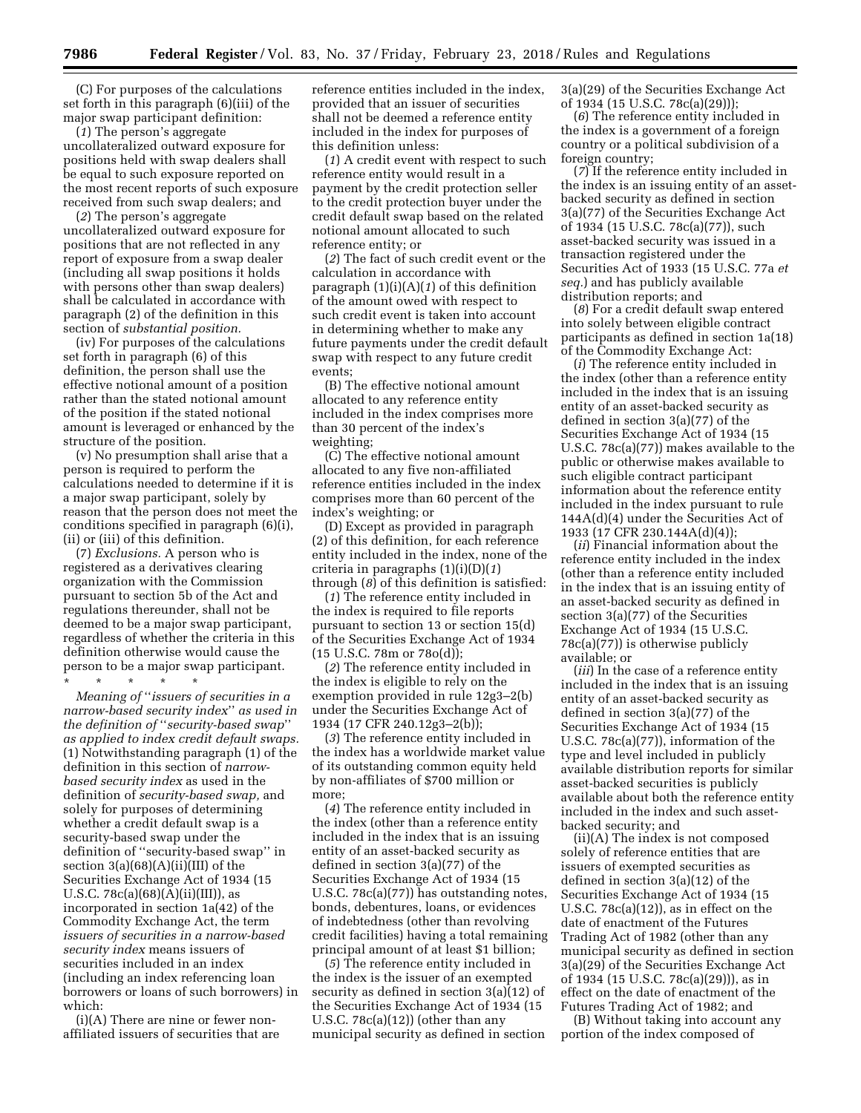(C) For purposes of the calculations set forth in this paragraph (6)(iii) of the major swap participant definition:

(*1*) The person's aggregate uncollateralized outward exposure for positions held with swap dealers shall be equal to such exposure reported on the most recent reports of such exposure received from such swap dealers; and

(*2*) The person's aggregate uncollateralized outward exposure for positions that are not reflected in any report of exposure from a swap dealer (including all swap positions it holds with persons other than swap dealers) shall be calculated in accordance with paragraph (2) of the definition in this section of *substantial position.* 

(iv) For purposes of the calculations set forth in paragraph (6) of this definition, the person shall use the effective notional amount of a position rather than the stated notional amount of the position if the stated notional amount is leveraged or enhanced by the structure of the position.

(v) No presumption shall arise that a person is required to perform the calculations needed to determine if it is a major swap participant, solely by reason that the person does not meet the conditions specified in paragraph (6)(i), (ii) or (iii) of this definition.

(7) *Exclusions.* A person who is registered as a derivatives clearing organization with the Commission pursuant to section 5b of the Act and regulations thereunder, shall not be deemed to be a major swap participant, regardless of whether the criteria in this definition otherwise would cause the person to be a major swap participant.

\* \* \* \* \*

*Meaning of* ''*issuers of securities in a narrow-based security index*'' *as used in the definition of* ''*security-based swap*'' *as applied to index credit default swaps.*  (1) Notwithstanding paragraph (1) of the definition in this section of *narrowbased security index* as used in the definition of *security-based swap,* and solely for purposes of determining whether a credit default swap is a security-based swap under the definition of ''security-based swap'' in section 3(a)(68)(A)(ii)(III) of the Securities Exchange Act of 1934 (15 U.S.C.  $78c(a)(68)(A)(ii)(III)$ , as incorporated in section 1a(42) of the Commodity Exchange Act, the term *issuers of securities in a narrow-based security index* means issuers of securities included in an index (including an index referencing loan borrowers or loans of such borrowers) in which:

(i)(A) There are nine or fewer nonaffiliated issuers of securities that are reference entities included in the index, provided that an issuer of securities shall not be deemed a reference entity included in the index for purposes of this definition unless:

(*1*) A credit event with respect to such reference entity would result in a payment by the credit protection seller to the credit protection buyer under the credit default swap based on the related notional amount allocated to such reference entity; or

(*2*) The fact of such credit event or the calculation in accordance with paragraph (1)(i)(A)(*1*) of this definition of the amount owed with respect to such credit event is taken into account in determining whether to make any future payments under the credit default swap with respect to any future credit events;

(B) The effective notional amount allocated to any reference entity included in the index comprises more than 30 percent of the index's weighting;

(C) The effective notional amount allocated to any five non-affiliated reference entities included in the index comprises more than 60 percent of the index's weighting; or

(D) Except as provided in paragraph (2) of this definition, for each reference entity included in the index, none of the criteria in paragraphs (1)(i)(D)(*1*) through (*8*) of this definition is satisfied:

(*1*) The reference entity included in the index is required to file reports pursuant to section 13 or section 15(d) of the Securities Exchange Act of 1934 (15 U.S.C. 78m or 78o(d));

(*2*) The reference entity included in the index is eligible to rely on the exemption provided in rule 12g3–2(b) under the Securities Exchange Act of 1934 (17 CFR 240.12g3–2(b));

(*3*) The reference entity included in the index has a worldwide market value of its outstanding common equity held by non-affiliates of \$700 million or more;

(*4*) The reference entity included in the index (other than a reference entity included in the index that is an issuing entity of an asset-backed security as defined in section 3(a)(77) of the Securities Exchange Act of 1934 (15 U.S.C. 78c(a)(77)) has outstanding notes, bonds, debentures, loans, or evidences of indebtedness (other than revolving credit facilities) having a total remaining principal amount of at least \$1 billion;

(*5*) The reference entity included in the index is the issuer of an exempted security as defined in section 3(a)(12) of the Securities Exchange Act of 1934 (15 U.S.C. 78c(a)(12)) (other than any municipal security as defined in section

3(a)(29) of the Securities Exchange Act of 1934 (15 U.S.C. 78c(a)(29)));

(*6*) The reference entity included in the index is a government of a foreign country or a political subdivision of a foreign country;

(*7*) If the reference entity included in the index is an issuing entity of an assetbacked security as defined in section 3(a)(77) of the Securities Exchange Act of 1934 (15 U.S.C. 78c(a)(77)), such asset-backed security was issued in a transaction registered under the Securities Act of 1933 (15 U.S.C. 77a *et seq.*) and has publicly available distribution reports; and

(*8*) For a credit default swap entered into solely between eligible contract participants as defined in section 1a(18) of the Commodity Exchange Act:

(*i*) The reference entity included in the index (other than a reference entity included in the index that is an issuing entity of an asset-backed security as defined in section 3(a)(77) of the Securities Exchange Act of 1934 (15 U.S.C. 78c(a)(77)) makes available to the public or otherwise makes available to such eligible contract participant information about the reference entity included in the index pursuant to rule 144A(d)(4) under the Securities Act of 1933 (17 CFR 230.144A(d)(4));

(*ii*) Financial information about the reference entity included in the index (other than a reference entity included in the index that is an issuing entity of an asset-backed security as defined in section 3(a)(77) of the Securities Exchange Act of 1934 (15 U.S.C. 78c(a)(77)) is otherwise publicly available; or

(*iii*) In the case of a reference entity included in the index that is an issuing entity of an asset-backed security as defined in section 3(a)(77) of the Securities Exchange Act of 1934 (15 U.S.C. 78c(a)(77)), information of the type and level included in publicly available distribution reports for similar asset-backed securities is publicly available about both the reference entity included in the index and such assetbacked security; and

(ii)(A) The index is not composed solely of reference entities that are issuers of exempted securities as defined in section 3(a)(12) of the Securities Exchange Act of 1934 (15 U.S.C. 78c(a)(12)), as in effect on the date of enactment of the Futures Trading Act of 1982 (other than any municipal security as defined in section 3(a)(29) of the Securities Exchange Act of 1934 (15 U.S.C. 78c(a)(29))), as in effect on the date of enactment of the Futures Trading Act of 1982; and

(B) Without taking into account any portion of the index composed of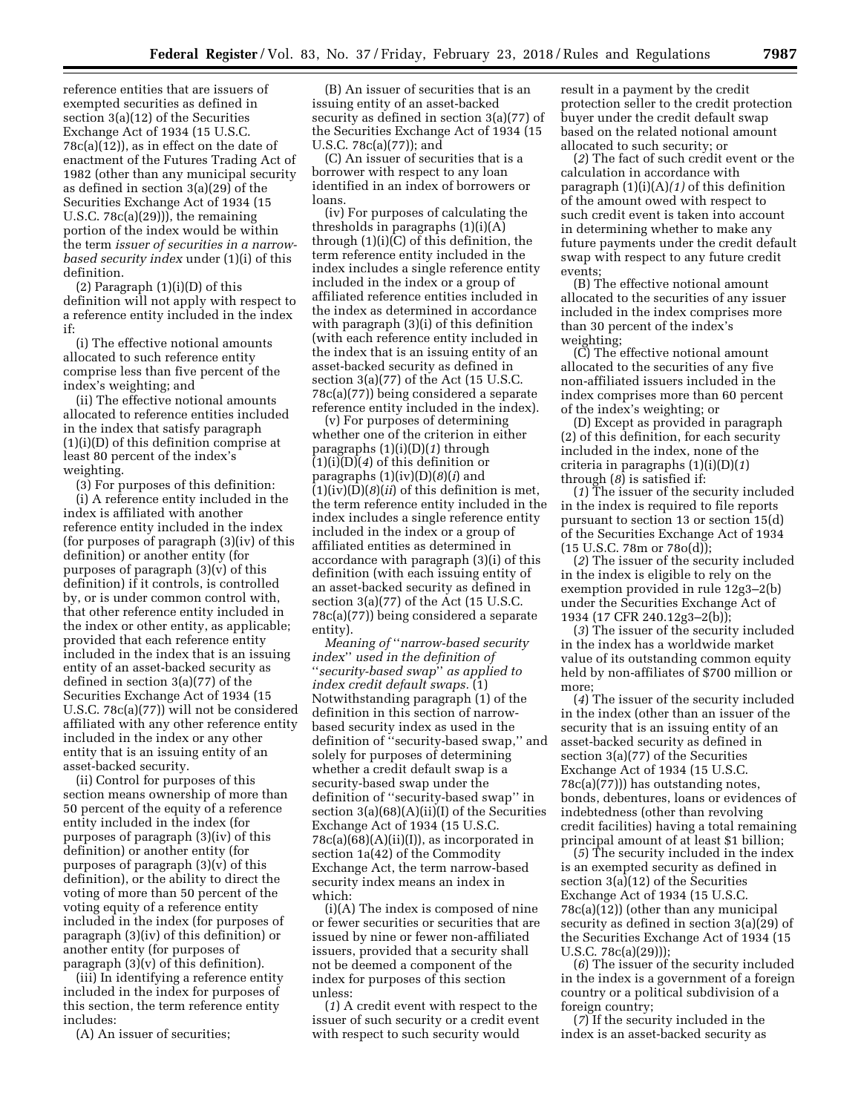reference entities that are issuers of exempted securities as defined in section 3(a)(12) of the Securities Exchange Act of 1934 (15 U.S.C. 78c(a)(12)), as in effect on the date of enactment of the Futures Trading Act of 1982 (other than any municipal security as defined in section 3(a)(29) of the Securities Exchange Act of 1934 (15 U.S.C. 78c(a)(29))), the remaining portion of the index would be within the term *issuer of securities in a narrowbased security index* under (1)(i) of this definition.

(2) Paragraph (1)(i)(D) of this definition will not apply with respect to a reference entity included in the index if:

(i) The effective notional amounts allocated to such reference entity comprise less than five percent of the index's weighting; and

(ii) The effective notional amounts allocated to reference entities included in the index that satisfy paragraph (1)(i)(D) of this definition comprise at least 80 percent of the index's weighting.

(3) For purposes of this definition: (i) A reference entity included in the

index is affiliated with another reference entity included in the index (for purposes of paragraph (3)(iv) of this definition) or another entity (for purposes of paragraph (3)(v) of this definition) if it controls, is controlled by, or is under common control with, that other reference entity included in the index or other entity, as applicable; provided that each reference entity included in the index that is an issuing entity of an asset-backed security as defined in section 3(a)(77) of the Securities Exchange Act of 1934 (15 U.S.C. 78c(a)(77)) will not be considered affiliated with any other reference entity included in the index or any other entity that is an issuing entity of an asset-backed security.

(ii) Control for purposes of this section means ownership of more than 50 percent of the equity of a reference entity included in the index (for purposes of paragraph (3)(iv) of this definition) or another entity (for purposes of paragraph (3)(v) of this definition), or the ability to direct the voting of more than 50 percent of the voting equity of a reference entity included in the index (for purposes of paragraph (3)(iv) of this definition) or another entity (for purposes of paragraph (3)(v) of this definition).

(iii) In identifying a reference entity included in the index for purposes of this section, the term reference entity includes:

(A) An issuer of securities;

(B) An issuer of securities that is an issuing entity of an asset-backed security as defined in section 3(a)(77) of the Securities Exchange Act of 1934 (15 U.S.C. 78c(a)(77)); and

(C) An issuer of securities that is a borrower with respect to any loan identified in an index of borrowers or loans.

(iv) For purposes of calculating the thresholds in paragraphs (1)(i)(A) through (1)(i)(C) of this definition, the term reference entity included in the index includes a single reference entity included in the index or a group of affiliated reference entities included in the index as determined in accordance with paragraph (3)(i) of this definition (with each reference entity included in the index that is an issuing entity of an asset-backed security as defined in section 3(a)(77) of the Act (15 U.S.C. 78c(a)(77)) being considered a separate reference entity included in the index).

(v) For purposes of determining whether one of the criterion in either paragraphs (1)(i)(D)(*1*) through (1)(i)(D)(*4*) of this definition or paragraphs (1)(iv)(D)(*8*)(*i*) and  $(1)(iv)(D)(8)(ii)$  of this definition is met, the term reference entity included in the index includes a single reference entity included in the index or a group of affiliated entities as determined in accordance with paragraph (3)(i) of this definition (with each issuing entity of an asset-backed security as defined in section 3(a)(77) of the Act (15 U.S.C. 78c(a)(77)) being considered a separate entity).

*Meaning of* ''*narrow-based security index*'' *used in the definition of*  ''*security-based swap*'' *as applied to index credit default swaps.* (1) Notwithstanding paragraph (1) of the definition in this section of narrowbased security index as used in the definition of ''security-based swap,'' and solely for purposes of determining whether a credit default swap is a security-based swap under the definition of ''security-based swap'' in section  $3(a)(68)(A)(ii)(I)$  of the Securities Exchange Act of 1934 (15 U.S.C.  $78c(a)(68)(A)(ii)(I)$ , as incorporated in section 1a(42) of the Commodity Exchange Act, the term narrow-based security index means an index in which:

(i)(A) The index is composed of nine or fewer securities or securities that are issued by nine or fewer non-affiliated issuers, provided that a security shall not be deemed a component of the index for purposes of this section unless:

(*1*) A credit event with respect to the issuer of such security or a credit event with respect to such security would

result in a payment by the credit protection seller to the credit protection buyer under the credit default swap based on the related notional amount allocated to such security; or

(*2*) The fact of such credit event or the calculation in accordance with paragraph (1)(i)(A)*(1)* of this definition of the amount owed with respect to such credit event is taken into account in determining whether to make any future payments under the credit default swap with respect to any future credit events;

(B) The effective notional amount allocated to the securities of any issuer included in the index comprises more than 30 percent of the index's weighting;

(C) The effective notional amount allocated to the securities of any five non-affiliated issuers included in the index comprises more than 60 percent of the index's weighting; or

(D) Except as provided in paragraph (2) of this definition, for each security included in the index, none of the criteria in paragraphs (1)(i)(D)(*1*) through (*8*) is satisfied if:

(*1*) The issuer of the security included in the index is required to file reports pursuant to section 13 or section 15(d) of the Securities Exchange Act of 1934 (15 U.S.C. 78m or 78o(d));

(*2*) The issuer of the security included in the index is eligible to rely on the exemption provided in rule 12g3–2(b) under the Securities Exchange Act of 1934 (17 CFR 240.12g3–2(b));

(*3*) The issuer of the security included in the index has a worldwide market value of its outstanding common equity held by non-affiliates of \$700 million or more;

(*4*) The issuer of the security included in the index (other than an issuer of the security that is an issuing entity of an asset-backed security as defined in section 3(a)(77) of the Securities Exchange Act of 1934 (15 U.S.C. 78c(a)(77))) has outstanding notes, bonds, debentures, loans or evidences of indebtedness (other than revolving credit facilities) having a total remaining principal amount of at least \$1 billion;

(*5*) The security included in the index is an exempted security as defined in section 3(a)(12) of the Securities Exchange Act of 1934 (15 U.S.C. 78c(a)(12)) (other than any municipal security as defined in section 3(a)(29) of the Securities Exchange Act of 1934 (15 U.S.C. 78c(a)(29)));

(*6*) The issuer of the security included in the index is a government of a foreign country or a political subdivision of a foreign country;

(*7*) If the security included in the index is an asset-backed security as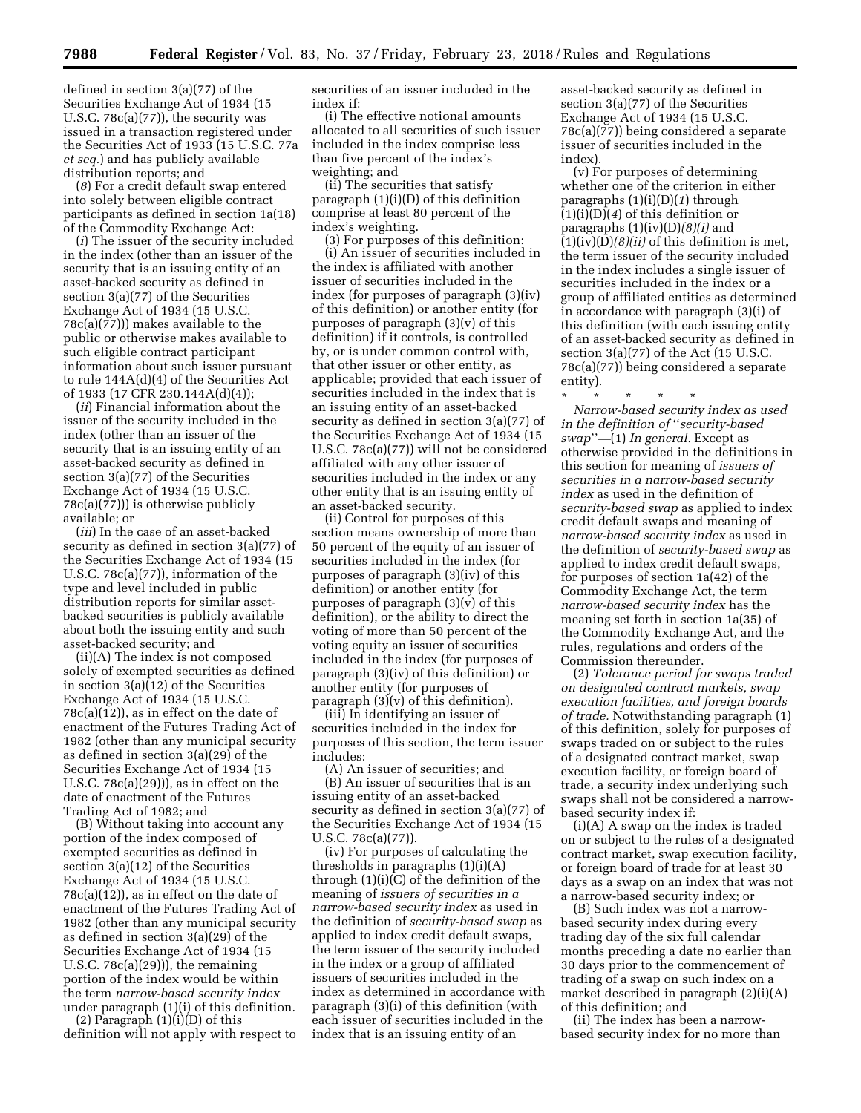defined in section 3(a)(77) of the Securities Exchange Act of 1934 (15 U.S.C. 78c(a)(77)), the security was issued in a transaction registered under the Securities Act of 1933 (15 U.S.C. 77a *et seq.*) and has publicly available distribution reports; and

(*8*) For a credit default swap entered into solely between eligible contract participants as defined in section 1a(18) of the Commodity Exchange Act:

(*i*) The issuer of the security included in the index (other than an issuer of the security that is an issuing entity of an asset-backed security as defined in section 3(a)(77) of the Securities Exchange Act of 1934 (15 U.S.C. 78c(a)(77))) makes available to the public or otherwise makes available to such eligible contract participant information about such issuer pursuant to rule 144A(d)(4) of the Securities Act of 1933 (17 CFR 230.144A(d)(4));

(*ii*) Financial information about the issuer of the security included in the index (other than an issuer of the security that is an issuing entity of an asset-backed security as defined in section 3(a)(77) of the Securities Exchange Act of 1934 (15 U.S.C. 78c(a)(77))) is otherwise publicly available; or

(*iii*) In the case of an asset-backed security as defined in section 3(a)(77) of the Securities Exchange Act of 1934 (15 U.S.C. 78c(a)(77)), information of the type and level included in public distribution reports for similar assetbacked securities is publicly available about both the issuing entity and such asset-backed security; and

(ii)(A) The index is not composed solely of exempted securities as defined in section 3(a)(12) of the Securities Exchange Act of 1934 (15 U.S.C. 78c(a)(12)), as in effect on the date of enactment of the Futures Trading Act of 1982 (other than any municipal security as defined in section 3(a)(29) of the Securities Exchange Act of 1934 (15 U.S.C. 78c(a)(29))), as in effect on the date of enactment of the Futures Trading Act of 1982; and

(B) Without taking into account any portion of the index composed of exempted securities as defined in section 3(a)(12) of the Securities Exchange Act of 1934 (15 U.S.C. 78c(a)(12)), as in effect on the date of enactment of the Futures Trading Act of 1982 (other than any municipal security as defined in section 3(a)(29) of the Securities Exchange Act of 1934 (15 U.S.C.  $78c(a)(29)$ , the remaining portion of the index would be within the term *narrow-based security index*  under paragraph (1)(i) of this definition.

(2) Paragraph  $(1)(i)(D)$  of this definition will not apply with respect to securities of an issuer included in the index if:

(i) The effective notional amounts allocated to all securities of such issuer included in the index comprise less than five percent of the index's weighting; and

(ii) The securities that satisfy paragraph (1)(i)(D) of this definition comprise at least 80 percent of the index's weighting.

(3) For purposes of this definition: (i) An issuer of securities included in the index is affiliated with another issuer of securities included in the index (for purposes of paragraph (3)(iv) of this definition) or another entity (for purposes of paragraph (3)(v) of this definition) if it controls, is controlled by, or is under common control with, that other issuer or other entity, as applicable; provided that each issuer of securities included in the index that is an issuing entity of an asset-backed security as defined in section 3(a)(77) of the Securities Exchange Act of 1934 (15 U.S.C. 78c(a)(77)) will not be considered affiliated with any other issuer of securities included in the index or any other entity that is an issuing entity of an asset-backed security.

(ii) Control for purposes of this section means ownership of more than 50 percent of the equity of an issuer of securities included in the index (for purposes of paragraph (3)(iv) of this definition) or another entity (for purposes of paragraph (3)(v) of this definition), or the ability to direct the voting of more than 50 percent of the voting equity an issuer of securities included in the index (for purposes of paragraph (3)(iv) of this definition) or another entity (for purposes of paragraph  $(3)(v)$  of this definition).

(iii) In identifying an issuer of securities included in the index for purposes of this section, the term issuer includes:

(A) An issuer of securities; and (B) An issuer of securities that is an issuing entity of an asset-backed security as defined in section 3(a)(77) of the Securities Exchange Act of 1934 (15 U.S.C. 78c(a)(77)).

(iv) For purposes of calculating the thresholds in paragraphs (1)(i)(A) through (1)(i)(C) of the definition of the meaning of *issuers of securities in a narrow-based security index* as used in the definition of *security-based swap* as applied to index credit default swaps, the term issuer of the security included in the index or a group of affiliated issuers of securities included in the index as determined in accordance with paragraph (3)(i) of this definition (with each issuer of securities included in the index that is an issuing entity of an

asset-backed security as defined in section 3(a)(77) of the Securities Exchange Act of 1934 (15 U.S.C. 78c(a)(77)) being considered a separate issuer of securities included in the index).

(v) For purposes of determining whether one of the criterion in either paragraphs (1)(i)(D)(*1*) through (1)(i)(D)(*4*) of this definition or paragraphs (1)(iv)(D)*(8)(i)* and (1)(iv)(D)*(8)(ii)* of this definition is met, the term issuer of the security included in the index includes a single issuer of securities included in the index or a group of affiliated entities as determined in accordance with paragraph (3)(i) of this definition (with each issuing entity of an asset-backed security as defined in section 3(a)(77) of the Act (15 U.S.C. 78c(a)(77)) being considered a separate entity).

\* \* \* \* \* *Narrow-based security index as used in the definition of* ''*security-based swap*''*—*(1) *In general.* Except as otherwise provided in the definitions in this section for meaning of *issuers of securities in a narrow-based security index* as used in the definition of *security-based swap* as applied to index credit default swaps and meaning of *narrow-based security index* as used in the definition of *security-based swap* as applied to index credit default swaps, for purposes of section 1a(42) of the Commodity Exchange Act, the term *narrow-based security index* has the meaning set forth in section 1a(35) of the Commodity Exchange Act, and the rules, regulations and orders of the Commission thereunder.

(2) *Tolerance period for swaps traded on designated contract markets, swap execution facilities, and foreign boards of trade.* Notwithstanding paragraph (1) of this definition, solely for purposes of swaps traded on or subject to the rules of a designated contract market, swap execution facility, or foreign board of trade, a security index underlying such swaps shall not be considered a narrowbased security index if:

(i)(A) A swap on the index is traded on or subject to the rules of a designated contract market, swap execution facility, or foreign board of trade for at least 30 days as a swap on an index that was not a narrow-based security index; or

(B) Such index was not a narrowbased security index during every trading day of the six full calendar months preceding a date no earlier than 30 days prior to the commencement of trading of a swap on such index on a market described in paragraph (2)(i)(A) of this definition; and

(ii) The index has been a narrowbased security index for no more than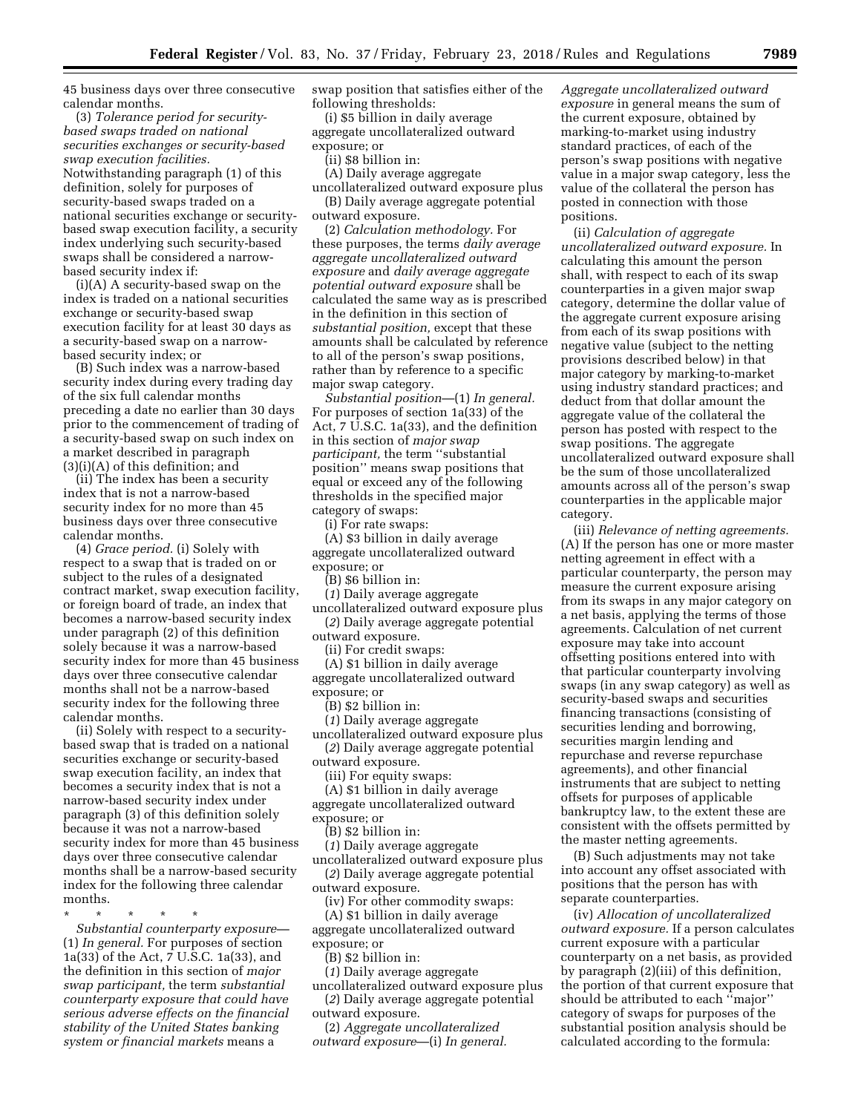45 business days over three consecutive calendar months.

(3) *Tolerance period for securitybased swaps traded on national securities exchanges or security-based swap execution facilities.*  Notwithstanding paragraph (1) of this definition, solely for purposes of security-based swaps traded on a national securities exchange or securitybased swap execution facility, a security index underlying such security-based swaps shall be considered a narrowbased security index if:

(i)(A) A security-based swap on the index is traded on a national securities exchange or security-based swap execution facility for at least 30 days as a security-based swap on a narrowbased security index; or

(B) Such index was a narrow-based security index during every trading day of the six full calendar months preceding a date no earlier than 30 days prior to the commencement of trading of a security-based swap on such index on a market described in paragraph (3)(i)(A) of this definition; and

(ii) The index has been a security index that is not a narrow-based security index for no more than 45 business days over three consecutive calendar months.

(4) *Grace period.* (i) Solely with respect to a swap that is traded on or subject to the rules of a designated contract market, swap execution facility, or foreign board of trade, an index that becomes a narrow-based security index under paragraph (2) of this definition solely because it was a narrow-based security index for more than 45 business days over three consecutive calendar months shall not be a narrow-based security index for the following three calendar months.

(ii) Solely with respect to a securitybased swap that is traded on a national securities exchange or security-based swap execution facility, an index that becomes a security index that is not a narrow-based security index under paragraph (3) of this definition solely because it was not a narrow-based security index for more than 45 business days over three consecutive calendar months shall be a narrow-based security index for the following three calendar months.

\* \* \* \* \*

*Substantial counterparty exposure—*  (1) *In general.* For purposes of section 1a(33) of the Act, 7 U.S.C. 1a(33), and the definition in this section of *major swap participant,* the term *substantial counterparty exposure that could have serious adverse effects on the financial stability of the United States banking system or financial markets* means a

swap position that satisfies either of the following thresholds:

(i) \$5 billion in daily average aggregate uncollateralized outward exposure; or

(ii) \$8 billion in:

(A) Daily average aggregate

uncollateralized outward exposure plus (B) Daily average aggregate potential outward exposure.

(2) *Calculation methodology.* For these purposes, the terms *daily average aggregate uncollateralized outward exposure* and *daily average aggregate potential outward exposure* shall be calculated the same way as is prescribed in the definition in this section of *substantial position,* except that these amounts shall be calculated by reference to all of the person's swap positions, rather than by reference to a specific major swap category.

*Substantial position*—(1) *In general.*  For purposes of section 1a(33) of the Act, 7 U.S.C. 1a(33), and the definition in this section of *major swap participant,* the term ''substantial position'' means swap positions that equal or exceed any of the following thresholds in the specified major category of swaps:

(i) For rate swaps:

(A) \$3 billion in daily average aggregate uncollateralized outward exposure; or

(B) \$6 billion in:

(*1*) Daily average aggregate

uncollateralized outward exposure plus (*2*) Daily average aggregate potential

outward exposure.

(ii) For credit swaps:

(A) \$1 billion in daily average aggregate uncollateralized outward exposure; or

(B) \$2 billion in:

(*1*) Daily average aggregate uncollateralized outward exposure plus

(*2*) Daily average aggregate potential outward exposure.

(iii) For equity swaps:

(A) \$1 billion in daily average

aggregate uncollateralized outward exposure; or

(B) \$2 billion in:

(*1*) Daily average aggregate

uncollateralized outward exposure plus (*2*) Daily average aggregate potential outward exposure.

(iv) For other commodity swaps:

(A) \$1 billion in daily average

aggregate uncollateralized outward exposure; or

(B) \$2 billion in:

(*1*) Daily average aggregate

uncollateralized outward exposure plus (*2*) Daily average aggregate potential

outward exposure. (2) *Aggregate uncollateralized outward exposure*—(i) *In general.*  *Aggregate uncollateralized outward exposure* in general means the sum of the current exposure, obtained by marking-to-market using industry standard practices, of each of the person's swap positions with negative value in a major swap category, less the value of the collateral the person has posted in connection with those positions.

(ii) *Calculation of aggregate uncollateralized outward exposure.* In calculating this amount the person shall, with respect to each of its swap counterparties in a given major swap category, determine the dollar value of the aggregate current exposure arising from each of its swap positions with negative value (subject to the netting provisions described below) in that major category by marking-to-market using industry standard practices; and deduct from that dollar amount the aggregate value of the collateral the person has posted with respect to the swap positions. The aggregate uncollateralized outward exposure shall be the sum of those uncollateralized amounts across all of the person's swap counterparties in the applicable major category.

(iii) *Relevance of netting agreements.*  (A) If the person has one or more master netting agreement in effect with a particular counterparty, the person may measure the current exposure arising from its swaps in any major category on a net basis, applying the terms of those agreements. Calculation of net current exposure may take into account offsetting positions entered into with that particular counterparty involving swaps (in any swap category) as well as security-based swaps and securities financing transactions (consisting of securities lending and borrowing, securities margin lending and repurchase and reverse repurchase agreements), and other financial instruments that are subject to netting offsets for purposes of applicable bankruptcy law, to the extent these are consistent with the offsets permitted by the master netting agreements.

(B) Such adjustments may not take into account any offset associated with positions that the person has with separate counterparties.

(iv) *Allocation of uncollateralized outward exposure.* If a person calculates current exposure with a particular counterparty on a net basis, as provided by paragraph (2)(iii) of this definition, the portion of that current exposure that should be attributed to each ''major'' category of swaps for purposes of the substantial position analysis should be calculated according to the formula: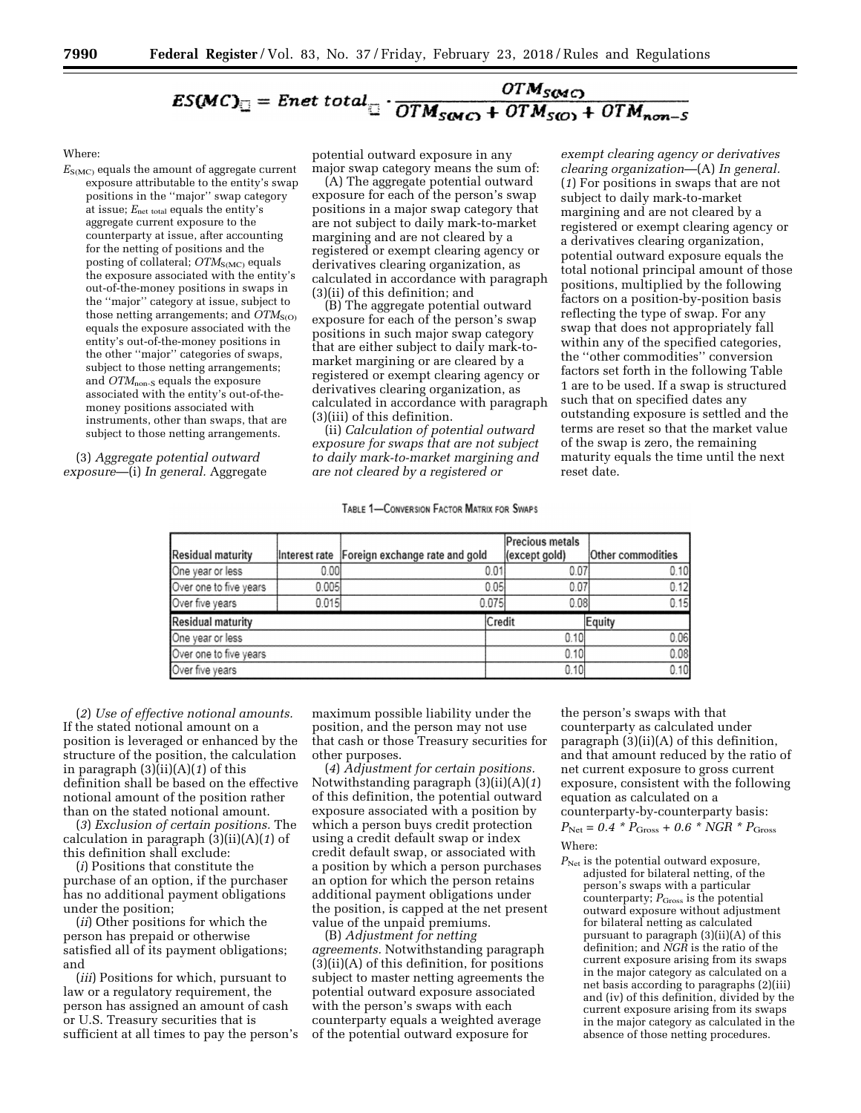# $ES(MC)_{\square} = \text{Ent total}_{\square} \cdot \frac{OTM_{SOMC}}{OTM_{SOMC} + OTM_{SCO} + OTM_{non-S}}$

## Where:

*E*S(MC) equals the amount of aggregate current exposure attributable to the entity's swap positions in the ''major'' swap category at issue; *E*net total equals the entity's aggregate current exposure to the counterparty at issue, after accounting for the netting of positions and the posting of collateral;  $OTM<sub>S(MC)</sub>$  equals the exposure associated with the entity's out-of-the-money positions in swaps in the ''major'' category at issue, subject to those netting arrangements; and  $\hat{OTM}_{S(O)}$ equals the exposure associated with the entity's out-of-the-money positions in the other ''major'' categories of swaps, subject to those netting arrangements; and *OTM*<sub>non-S</sub> equals the exposure associated with the entity's out-of-themoney positions associated with instruments, other than swaps, that are subject to those netting arrangements.

(3) *Aggregate potential outward exposure*—(i) *In general.* Aggregate potential outward exposure in any major swap category means the sum of:

(A) The aggregate potential outward exposure for each of the person's swap positions in a major swap category that are not subject to daily mark-to-market margining and are not cleared by a registered or exempt clearing agency or derivatives clearing organization, as calculated in accordance with paragraph (3)(ii) of this definition; and

(B) The aggregate potential outward exposure for each of the person's swap positions in such major swap category that are either subject to daily mark-tomarket margining or are cleared by a registered or exempt clearing agency or derivatives clearing organization, as calculated in accordance with paragraph (3)(iii) of this definition.

(ii) *Calculation of potential outward exposure for swaps that are not subject to daily mark-to-market margining and are not cleared by a registered or* 

# TABLE 1-CONVERSION FACTOR MATRIX FOR SWAPS

*exempt clearing agency or derivatives clearing organization*—(A) *In general.*  (*1*) For positions in swaps that are not subject to daily mark-to-market margining and are not cleared by a registered or exempt clearing agency or a derivatives clearing organization, potential outward exposure equals the total notional principal amount of those positions, multiplied by the following factors on a position-by-position basis reflecting the type of swap. For any swap that does not appropriately fall within any of the specified categories, the ''other commodities'' conversion factors set forth in the following Table 1 are to be used. If a swap is structured such that on specified dates any outstanding exposure is settled and the terms are reset so that the market value of the swap is zero, the remaining maturity equals the time until the next reset date.

|                          |       |                                                |        | <b>Precious metals</b> |                   |
|--------------------------|-------|------------------------------------------------|--------|------------------------|-------------------|
| <b>Residual maturity</b> |       | Interest rate   Foreign exchange rate and gold |        | (except gold)          | Other commodities |
| One year or less         | 0.001 |                                                | 0.01   | 0.07                   | 0.10              |
| Over one to five years   | 0.005 |                                                | 0.05   | 0.07                   | 0.12              |
| Over five years          | 0.015 |                                                | 0.075  | 0.081                  | 0.15              |
| <b>Residual maturity</b> |       |                                                | Credit |                        | Equity            |
| One year or less         |       |                                                |        | 0.10                   | 0.06              |
| Over one to five years   |       |                                                |        | 0.10                   | 0.08              |
| Over five years          |       |                                                |        | 0.10                   | 0.10              |

(*2*) *Use of effective notional amounts.*  If the stated notional amount on a position is leveraged or enhanced by the structure of the position, the calculation in paragraph (3)(ii)(A)(*1*) of this definition shall be based on the effective notional amount of the position rather than on the stated notional amount.

(*3*) *Exclusion of certain positions.* The calculation in paragraph (3)(ii)(A)(*1*) of this definition shall exclude:

(*i*) Positions that constitute the purchase of an option, if the purchaser has no additional payment obligations under the position;

(*ii*) Other positions for which the person has prepaid or otherwise satisfied all of its payment obligations; and

(*iii*) Positions for which, pursuant to law or a regulatory requirement, the person has assigned an amount of cash or U.S. Treasury securities that is sufficient at all times to pay the person's maximum possible liability under the position, and the person may not use that cash or those Treasury securities for other purposes.

(*4*) *Adjustment for certain positions.*  Notwithstanding paragraph (3)(ii)(A)(*1*) of this definition, the potential outward exposure associated with a position by which a person buys credit protection using a credit default swap or index credit default swap, or associated with a position by which a person purchases an option for which the person retains additional payment obligations under the position, is capped at the net present value of the unpaid premiums.

(B) *Adjustment for netting agreements.* Notwithstanding paragraph (3)(ii)(A) of this definition, for positions subject to master netting agreements the potential outward exposure associated with the person's swaps with each counterparty equals a weighted average of the potential outward exposure for

the person's swaps with that counterparty as calculated under paragraph (3)(ii)(A) of this definition, and that amount reduced by the ratio of net current exposure to gross current exposure, consistent with the following equation as calculated on a counterparty-by-counterparty basis:  $P_{\text{Net}} = 0.4 * P_{\text{Gross}} + 0.6 * NGR * P_{\text{Gross}}$ Where:

 $P_{\text{Net}}$  is the potential outward exposure, adjusted for bilateral netting, of the person's swaps with a particular counterparty;  $P_{\text{Gross}}$  is the potential outward exposure without adjustment for bilateral netting as calculated pursuant to paragraph (3)(ii)(A) of this definition; and *NGR* is the ratio of the current exposure arising from its swaps in the major category as calculated on a net basis according to paragraphs (2)(iii) and (iv) of this definition, divided by the current exposure arising from its swaps in the major category as calculated in the absence of those netting procedures.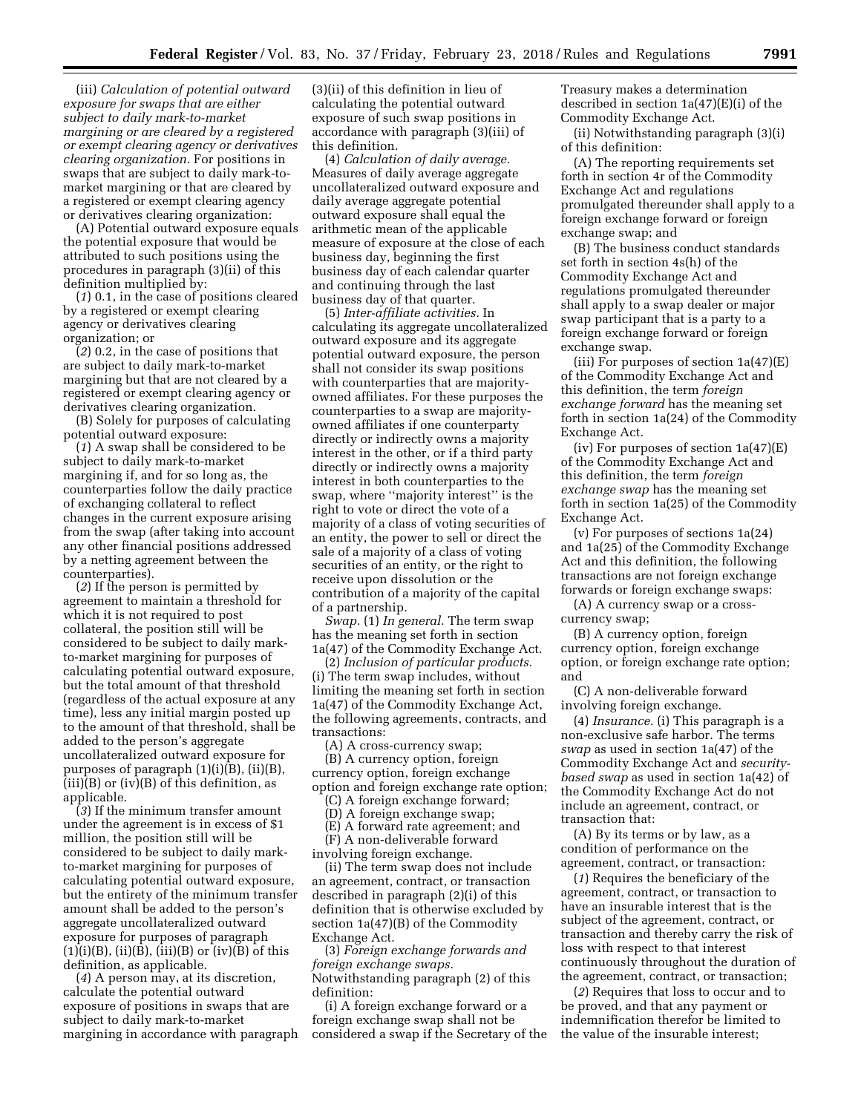(iii) *Calculation of potential outward exposure for swaps that are either subject to daily mark-to-market margining or are cleared by a registered or exempt clearing agency or derivatives clearing organization.* For positions in swaps that are subject to daily mark-tomarket margining or that are cleared by a registered or exempt clearing agency or derivatives clearing organization:

(A) Potential outward exposure equals the potential exposure that would be attributed to such positions using the procedures in paragraph (3)(ii) of this definition multiplied by:

(*1*) 0.1, in the case of positions cleared by a registered or exempt clearing agency or derivatives clearing organization; or

(*2*) 0.2, in the case of positions that are subject to daily mark-to-market margining but that are not cleared by a registered or exempt clearing agency or derivatives clearing organization.

(B) Solely for purposes of calculating potential outward exposure:

(*1*) A swap shall be considered to be subject to daily mark-to-market margining if, and for so long as, the counterparties follow the daily practice of exchanging collateral to reflect changes in the current exposure arising from the swap (after taking into account any other financial positions addressed by a netting agreement between the counterparties).

(*2*) If the person is permitted by agreement to maintain a threshold for which it is not required to post collateral, the position still will be considered to be subject to daily markto-market margining for purposes of calculating potential outward exposure, but the total amount of that threshold (regardless of the actual exposure at any time), less any initial margin posted up to the amount of that threshold, shall be added to the person's aggregate uncollateralized outward exposure for purposes of paragraph (1)(i)(B), (ii)(B), (iii)(B) or (iv)(B) of this definition, as applicable.

(*3*) If the minimum transfer amount under the agreement is in excess of \$1 million, the position still will be considered to be subject to daily markto-market margining for purposes of calculating potential outward exposure, but the entirety of the minimum transfer amount shall be added to the person's aggregate uncollateralized outward exposure for purposes of paragraph  $(1)(i)(B)$ ,  $(ii)(\overline{B})$ ,  $(iii)(B)$  or  $(iv)(\overline{B})$  of this definition, as applicable.

(*4*) A person may, at its discretion, calculate the potential outward exposure of positions in swaps that are subject to daily mark-to-market margining in accordance with paragraph

(3)(ii) of this definition in lieu of calculating the potential outward exposure of such swap positions in accordance with paragraph (3)(iii) of this definition.

(4) *Calculation of daily average.*  Measures of daily average aggregate uncollateralized outward exposure and daily average aggregate potential outward exposure shall equal the arithmetic mean of the applicable measure of exposure at the close of each business day, beginning the first business day of each calendar quarter and continuing through the last business day of that quarter.

(5) *Inter-affiliate activities.* In calculating its aggregate uncollateralized outward exposure and its aggregate potential outward exposure, the person shall not consider its swap positions with counterparties that are majorityowned affiliates. For these purposes the counterparties to a swap are majorityowned affiliates if one counterparty directly or indirectly owns a majority interest in the other, or if a third party directly or indirectly owns a majority interest in both counterparties to the swap, where ''majority interest'' is the right to vote or direct the vote of a majority of a class of voting securities of an entity, the power to sell or direct the sale of a majority of a class of voting securities of an entity, or the right to receive upon dissolution or the contribution of a majority of the capital of a partnership.

*Swap.* (1) *In general.* The term swap has the meaning set forth in section 1a(47) of the Commodity Exchange Act.

(2) *Inclusion of particular products.*  (i) The term swap includes, without limiting the meaning set forth in section 1a(47) of the Commodity Exchange Act, the following agreements, contracts, and transactions:

(A) A cross-currency swap; (B) A currency option, foreign currency option, foreign exchange option and foreign exchange rate option;

(C) A foreign exchange forward;

(D) A foreign exchange swap;

(E) A forward rate agreement; and

(F) A non-deliverable forward involving foreign exchange.

(ii) The term swap does not include an agreement, contract, or transaction described in paragraph (2)(i) of this definition that is otherwise excluded by section 1a(47)(B) of the Commodity Exchange Act.

(3) *Foreign exchange forwards and foreign exchange swaps.*  Notwithstanding paragraph (2) of this definition:

(i) A foreign exchange forward or a foreign exchange swap shall not be considered a swap if the Secretary of the Treasury makes a determination described in section 1a(47)(E)(i) of the Commodity Exchange Act.

(ii) Notwithstanding paragraph (3)(i) of this definition:

(A) The reporting requirements set forth in section 4r of the Commodity Exchange Act and regulations promulgated thereunder shall apply to a foreign exchange forward or foreign exchange swap; and

(B) The business conduct standards set forth in section 4s(h) of the Commodity Exchange Act and regulations promulgated thereunder shall apply to a swap dealer or major swap participant that is a party to a foreign exchange forward or foreign exchange swap.

(iii) For purposes of section 1a(47)(E) of the Commodity Exchange Act and this definition, the term *foreign exchange forward* has the meaning set forth in section 1a(24) of the Commodity Exchange Act.

(iv) For purposes of section 1a(47)(E) of the Commodity Exchange Act and this definition, the term *foreign exchange swap* has the meaning set forth in section 1a(25) of the Commodity Exchange Act.

(v) For purposes of sections 1a(24) and 1a(25) of the Commodity Exchange Act and this definition, the following transactions are not foreign exchange forwards or foreign exchange swaps:

(A) A currency swap or a crosscurrency swap;

(B) A currency option, foreign currency option, foreign exchange option, or foreign exchange rate option; and

(C) A non-deliverable forward involving foreign exchange.

(4) *Insurance.* (i) This paragraph is a non-exclusive safe harbor. The terms *swap* as used in section 1a(47) of the Commodity Exchange Act and *securitybased swap* as used in section 1a(42) of the Commodity Exchange Act do not include an agreement, contract, or transaction that:

(A) By its terms or by law, as a condition of performance on the agreement, contract, or transaction:

(*1*) Requires the beneficiary of the agreement, contract, or transaction to have an insurable interest that is the subject of the agreement, contract, or transaction and thereby carry the risk of loss with respect to that interest continuously throughout the duration of the agreement, contract, or transaction;

(*2*) Requires that loss to occur and to be proved, and that any payment or indemnification therefor be limited to the value of the insurable interest;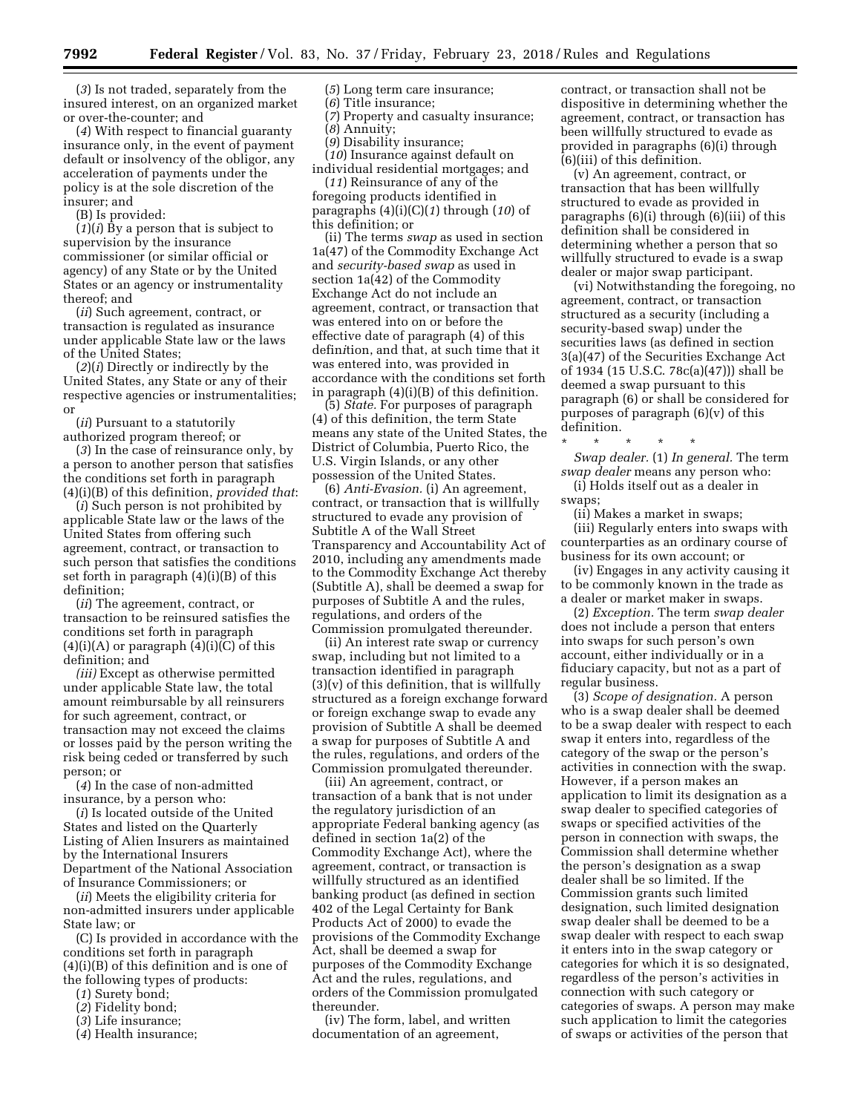(*3*) Is not traded, separately from the insured interest, on an organized market or over-the-counter; and

(*4*) With respect to financial guaranty insurance only, in the event of payment default or insolvency of the obligor, any acceleration of payments under the policy is at the sole discretion of the insurer; and

(B) Is provided:

(*1*)(*i*) By a person that is subject to supervision by the insurance commissioner (or similar official or agency) of any State or by the United States or an agency or instrumentality thereof; and

(*ii*) Such agreement, contract, or transaction is regulated as insurance under applicable State law or the laws of the United States;

(*2*)(*i*) Directly or indirectly by the United States, any State or any of their respective agencies or instrumentalities; or

(*ii*) Pursuant to a statutorily authorized program thereof; or

(*3*) In the case of reinsurance only, by a person to another person that satisfies the conditions set forth in paragraph (4)(i)(B) of this definition, *provided that*:

(*i*) Such person is not prohibited by applicable State law or the laws of the United States from offering such agreement, contract, or transaction to such person that satisfies the conditions set forth in paragraph (4)(i)(B) of this definition;

(*ii*) The agreement, contract, or transaction to be reinsured satisfies the conditions set forth in paragraph  $(4)(i)(A)$  or paragraph  $(4)(i)(C)$  of this definition; and

*(iii)* Except as otherwise permitted under applicable State law, the total amount reimbursable by all reinsurers for such agreement, contract, or transaction may not exceed the claims or losses paid by the person writing the risk being ceded or transferred by such person; or

(*4*) In the case of non-admitted insurance, by a person who:

(*i*) Is located outside of the United States and listed on the Quarterly Listing of Alien Insurers as maintained by the International Insurers Department of the National Association of Insurance Commissioners; or

(*ii*) Meets the eligibility criteria for non-admitted insurers under applicable State law; or

(C) Is provided in accordance with the conditions set forth in paragraph (4)(i)(B) of this definition and is one of the following types of products:

- (*1*) Surety bond;
- (*2*) Fidelity bond;
- (*3*) Life insurance;
- (*4*) Health insurance;

(*5*) Long term care insurance;

(*6*) Title insurance; (*7*) Property and casualty insurance;

(*8*) Annuity;

(*9*) Disability insurance;

(*10*) Insurance against default on individual residential mortgages; and

(*11*) Reinsurance of any of the foregoing products identified in paragraphs (4)(i)(C)(*1*) through (*10*) of this definition; or

(ii) The terms *swap* as used in section 1a(47) of the Commodity Exchange Act and *security-based swap* as used in section 1a(42) of the Commodity Exchange Act do not include an agreement, contract, or transaction that was entered into on or before the effective date of paragraph (4) of this defin*i*tion, and that, at such time that it was entered into, was provided in accordance with the conditions set forth in paragraph (4)(i)(B) of this definition.

(5) *State.* For purposes of paragraph (4) of this definition, the term State means any state of the United States, the District of Columbia, Puerto Rico, the U.S. Virgin Islands, or any other possession of the United States.

(6) *Anti-Evasion.* (i) An agreement, contract, or transaction that is willfully structured to evade any provision of Subtitle A of the Wall Street Transparency and Accountability Act of 2010, including any amendments made to the Commodity Exchange Act thereby (Subtitle A), shall be deemed a swap for purposes of Subtitle A and the rules, regulations, and orders of the Commission promulgated thereunder.

(ii) An interest rate swap or currency swap, including but not limited to a transaction identified in paragraph (3)(v) of this definition, that is willfully structured as a foreign exchange forward or foreign exchange swap to evade any provision of Subtitle A shall be deemed a swap for purposes of Subtitle A and the rules, regulations, and orders of the Commission promulgated thereunder.

(iii) An agreement, contract, or transaction of a bank that is not under the regulatory jurisdiction of an appropriate Federal banking agency (as defined in section 1a(2) of the Commodity Exchange Act), where the agreement, contract, or transaction is willfully structured as an identified banking product (as defined in section 402 of the Legal Certainty for Bank Products Act of 2000) to evade the provisions of the Commodity Exchange Act, shall be deemed a swap for purposes of the Commodity Exchange Act and the rules, regulations, and orders of the Commission promulgated thereunder.

(iv) The form, label, and written documentation of an agreement,

contract, or transaction shall not be dispositive in determining whether the agreement, contract, or transaction has been willfully structured to evade as provided in paragraphs (6)(i) through (6)(iii) of this definition.

(v) An agreement, contract, or transaction that has been willfully structured to evade as provided in paragraphs (6)(i) through (6)(iii) of this definition shall be considered in determining whether a person that so willfully structured to evade is a swap dealer or major swap participant.

(vi) Notwithstanding the foregoing, no agreement, contract, or transaction structured as a security (including a security-based swap) under the securities laws (as defined in section 3(a)(47) of the Securities Exchange Act of 1934 (15 U.S.C. 78c(a)(47))) shall be deemed a swap pursuant to this paragraph (6) or shall be considered for purposes of paragraph (6)(v) of this definition.

\* \* \* \* \* *Swap dealer.* (1) *In general.* The term *swap dealer* means any person who: (i) Holds itself out as a dealer in

swaps;

(ii) Makes a market in swaps; (iii) Regularly enters into swaps with counterparties as an ordinary course of business for its own account; or

(iv) Engages in any activity causing it to be commonly known in the trade as a dealer or market maker in swaps.

(2) *Exception.* The term *swap dealer*  does not include a person that enters into swaps for such person's own account, either individually or in a fiduciary capacity, but not as a part of regular business.

(3) *Scope of designation.* A person who is a swap dealer shall be deemed to be a swap dealer with respect to each swap it enters into, regardless of the category of the swap or the person's activities in connection with the swap. However, if a person makes an application to limit its designation as a swap dealer to specified categories of swaps or specified activities of the person in connection with swaps, the Commission shall determine whether the person's designation as a swap dealer shall be so limited. If the Commission grants such limited designation, such limited designation swap dealer shall be deemed to be a swap dealer with respect to each swap it enters into in the swap category or categories for which it is so designated, regardless of the person's activities in connection with such category or categories of swaps. A person may make such application to limit the categories of swaps or activities of the person that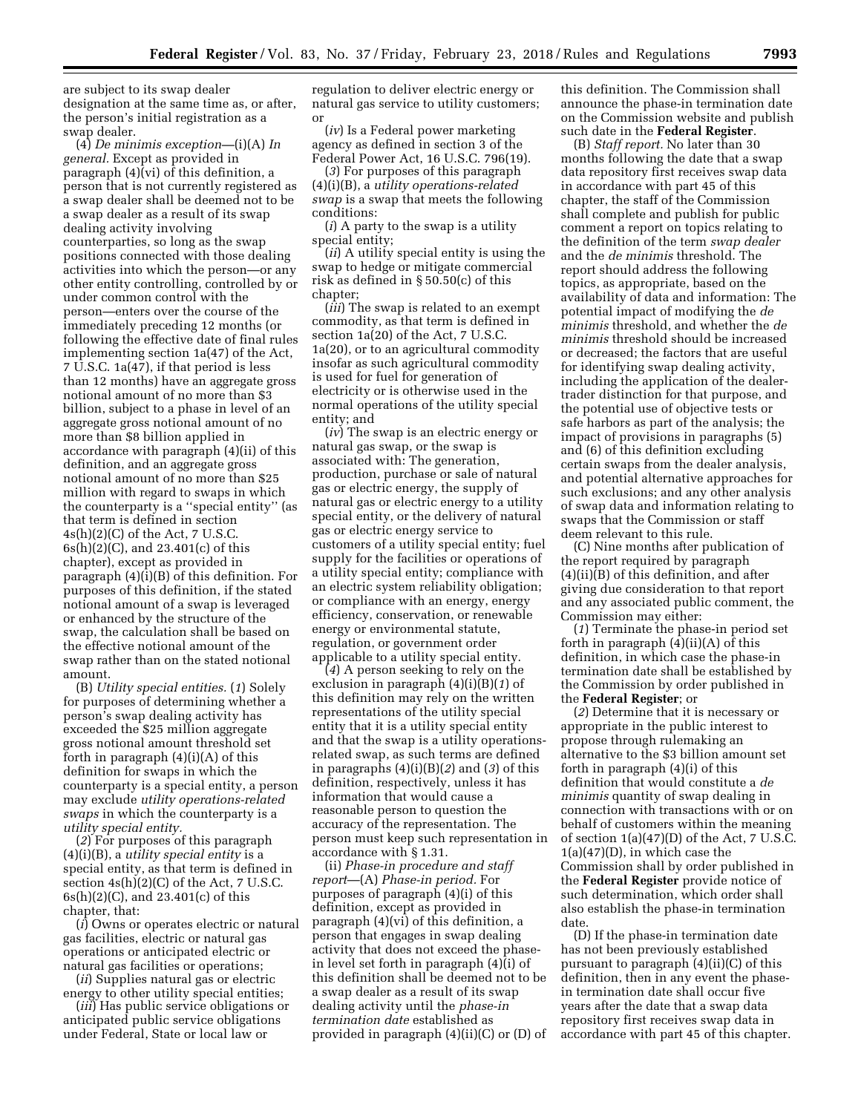are subject to its swap dealer designation at the same time as, or after, the person's initial registration as a swap dealer.

(4) *De minimis exception—*(i)(A) *In general.* Except as provided in paragraph (4)(vi) of this definition, a person that is not currently registered as a swap dealer shall be deemed not to be a swap dealer as a result of its swap dealing activity involving counterparties, so long as the swap positions connected with those dealing activities into which the person—or any other entity controlling, controlled by or under common control with the person—enters over the course of the immediately preceding 12 months (or following the effective date of final rules implementing section 1a(47) of the Act, 7 U.S.C. 1a(47), if that period is less than 12 months) have an aggregate gross notional amount of no more than \$3 billion, subject to a phase in level of an aggregate gross notional amount of no more than \$8 billion applied in accordance with paragraph (4)(ii) of this definition, and an aggregate gross notional amount of no more than \$25 million with regard to swaps in which the counterparty is a ''special entity'' (as that term is defined in section  $4s(h)(2)(C)$  of the Act, 7 U.S.C. 6s(h)(2)(C), and 23.401(c) of this chapter), except as provided in paragraph (4)(i)(B) of this definition. For purposes of this definition, if the stated notional amount of a swap is leveraged or enhanced by the structure of the swap, the calculation shall be based on the effective notional amount of the swap rather than on the stated notional amount.

(B) *Utility special entities.* (*1*) Solely for purposes of determining whether a person's swap dealing activity has exceeded the \$25 million aggregate gross notional amount threshold set forth in paragraph  $(4)(i)(A)$  of this definition for swaps in which the counterparty is a special entity, a person may exclude *utility operations-related swaps* in which the counterparty is a *utility special entity.* 

(*2*) For purposes of this paragraph (4)(i)(B), a *utility special entity* is a special entity, as that term is defined in section  $4s(h)(2)(C)$  of the Act, 7 U.S.C. 6s(h)(2)(C), and 23.401(c) of this chapter, that:

(*i*) Owns or operates electric or natural gas facilities, electric or natural gas operations or anticipated electric or natural gas facilities or operations;

(*ii*) Supplies natural gas or electric energy to other utility special entities;

(*iii*) Has public service obligations or anticipated public service obligations under Federal, State or local law or

regulation to deliver electric energy or natural gas service to utility customers; or

(*iv*) Is a Federal power marketing agency as defined in section 3 of the Federal Power Act, 16 U.S.C. 796(19).

(*3*) For purposes of this paragraph (4)(i)(B), a *utility operations-related swap* is a swap that meets the following conditions:

(*i*) A party to the swap is a utility special entity;

(*ii*) A utility special entity is using the swap to hedge or mitigate commercial risk as defined in § 50.50(c) of this chapter;

(*iii*) The swap is related to an exempt commodity, as that term is defined in section 1a(20) of the Act, 7 U.S.C. 1a(20), or to an agricultural commodity insofar as such agricultural commodity is used for fuel for generation of electricity or is otherwise used in the normal operations of the utility special entity; and

(*iv*) The swap is an electric energy or natural gas swap, or the swap is associated with: The generation, production, purchase or sale of natural gas or electric energy, the supply of natural gas or electric energy to a utility special entity, or the delivery of natural gas or electric energy service to customers of a utility special entity; fuel supply for the facilities or operations of a utility special entity; compliance with an electric system reliability obligation; or compliance with an energy, energy efficiency, conservation, or renewable energy or environmental statute, regulation, or government order applicable to a utility special entity.

(*4*) A person seeking to rely on the exclusion in paragraph (4)(i)(B)(*1*) of this definition may rely on the written representations of the utility special entity that it is a utility special entity and that the swap is a utility operationsrelated swap, as such terms are defined in paragraphs (4)(i)(B)(*2*) and (*3*) of this definition, respectively, unless it has information that would cause a reasonable person to question the accuracy of the representation. The person must keep such representation in accordance with § 1.31.

(ii) *Phase-in procedure and staff report*—(A) *Phase-in period.* For purposes of paragraph (4)(i) of this definition, except as provided in paragraph (4)(vi) of this definition, a person that engages in swap dealing activity that does not exceed the phasein level set forth in paragraph (4)(i) of this definition shall be deemed not to be a swap dealer as a result of its swap dealing activity until the *phase-in termination date* established as provided in paragraph (4)(ii)(C) or (D) of

this definition. The Commission shall announce the phase-in termination date on the Commission website and publish such date in the **Federal Register**.

(B) *Staff report.* No later than 30 months following the date that a swap data repository first receives swap data in accordance with part 45 of this chapter, the staff of the Commission shall complete and publish for public comment a report on topics relating to the definition of the term *swap dealer*  and the *de minimis* threshold. The report should address the following topics, as appropriate, based on the availability of data and information: The potential impact of modifying the *de minimis* threshold, and whether the *de minimis* threshold should be increased or decreased; the factors that are useful for identifying swap dealing activity, including the application of the dealertrader distinction for that purpose, and the potential use of objective tests or safe harbors as part of the analysis; the impact of provisions in paragraphs (5) and (6) of this definition excluding certain swaps from the dealer analysis, and potential alternative approaches for such exclusions; and any other analysis of swap data and information relating to swaps that the Commission or staff deem relevant to this rule.

(C) Nine months after publication of the report required by paragraph (4)(ii)(B) of this definition, and after giving due consideration to that report and any associated public comment, the Commission may either:

(*1*) Terminate the phase-in period set forth in paragraph  $(4)(ii)(A)$  of this definition, in which case the phase-in termination date shall be established by the Commission by order published in the **Federal Register**; or

(*2*) Determine that it is necessary or appropriate in the public interest to propose through rulemaking an alternative to the \$3 billion amount set forth in paragraph (4)(i) of this definition that would constitute a *de minimis* quantity of swap dealing in connection with transactions with or on behalf of customers within the meaning of section 1(a)(47)(D) of the Act, 7 U.S.C.  $1(a)(47)(D)$ , in which case the Commission shall by order published in the **Federal Register** provide notice of such determination, which order shall also establish the phase-in termination date.

(D) If the phase-in termination date has not been previously established pursuant to paragraph (4)(ii)(C) of this definition, then in any event the phasein termination date shall occur five years after the date that a swap data repository first receives swap data in accordance with part 45 of this chapter.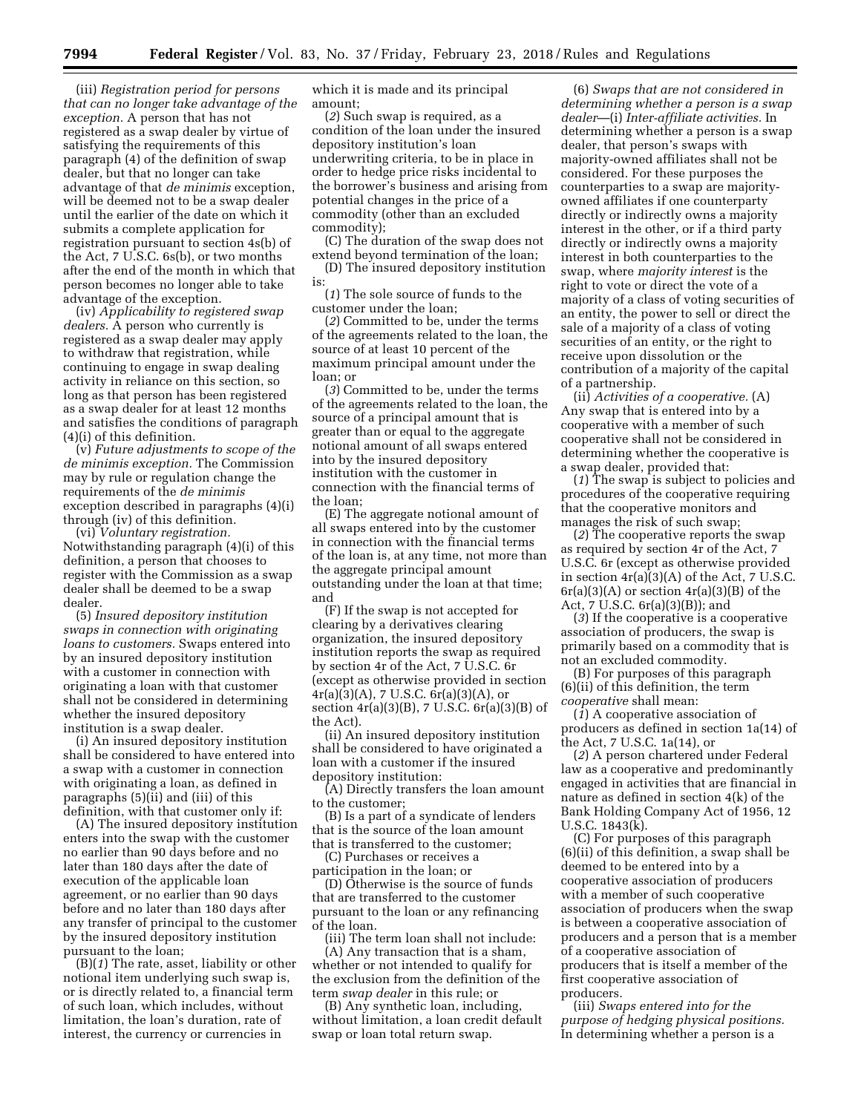(iii) *Registration period for persons that can no longer take advantage of the exception.* A person that has not registered as a swap dealer by virtue of satisfying the requirements of this paragraph (4) of the definition of swap dealer, but that no longer can take advantage of that *de minimis* exception, will be deemed not to be a swap dealer until the earlier of the date on which it submits a complete application for registration pursuant to section 4s(b) of the Act, 7 U.S.C. 6s(b), or two months after the end of the month in which that person becomes no longer able to take advantage of the exception.

(iv) *Applicability to registered swap dealers.* A person who currently is registered as a swap dealer may apply to withdraw that registration, while continuing to engage in swap dealing activity in reliance on this section, so long as that person has been registered as a swap dealer for at least 12 months and satisfies the conditions of paragraph (4)(i) of this definition.

(v) *Future adjustments to scope of the de minimis exception.* The Commission may by rule or regulation change the requirements of the *de minimis*  exception described in paragraphs (4)(i) through (iv) of this definition.

(vi) *Voluntary registration.*  Notwithstanding paragraph (4)(i) of this definition, a person that chooses to register with the Commission as a swap dealer shall be deemed to be a swap dealer.

(5) *Insured depository institution swaps in connection with originating loans to customers.* Swaps entered into by an insured depository institution with a customer in connection with originating a loan with that customer shall not be considered in determining whether the insured depository institution is a swap dealer.

(i) An insured depository institution shall be considered to have entered into a swap with a customer in connection with originating a loan, as defined in paragraphs (5)(ii) and (iii) of this definition, with that customer only if:

(A) The insured depository institution enters into the swap with the customer no earlier than 90 days before and no later than 180 days after the date of execution of the applicable loan agreement, or no earlier than 90 days before and no later than 180 days after any transfer of principal to the customer by the insured depository institution pursuant to the loan;

(B)(*1*) The rate, asset, liability or other notional item underlying such swap is, or is directly related to, a financial term of such loan, which includes, without limitation, the loan's duration, rate of interest, the currency or currencies in

which it is made and its principal amount;

(*2*) Such swap is required, as a condition of the loan under the insured depository institution's loan underwriting criteria, to be in place in order to hedge price risks incidental to the borrower's business and arising from potential changes in the price of a commodity (other than an excluded commodity);

(C) The duration of the swap does not extend beyond termination of the loan;

(D) The insured depository institution is:

(*1*) The sole source of funds to the customer under the loan;

(*2*) Committed to be, under the terms of the agreements related to the loan, the source of at least 10 percent of the maximum principal amount under the loan; or

(*3*) Committed to be, under the terms of the agreements related to the loan, the source of a principal amount that is greater than or equal to the aggregate notional amount of all swaps entered into by the insured depository institution with the customer in connection with the financial terms of the loan;

(E) The aggregate notional amount of all swaps entered into by the customer in connection with the financial terms of the loan is, at any time, not more than the aggregate principal amount outstanding under the loan at that time; and

(F) If the swap is not accepted for clearing by a derivatives clearing organization, the insured depository institution reports the swap as required by section 4r of the Act, 7 U.S.C. 6r (except as otherwise provided in section  $4r(a)(3)(A)$ , 7 U.S.C.  $6r(a)(3)(A)$ , or section  $4r(a)(3)(B)$ , 7 U.S.C.  $6r(a)(3)(B)$  of the Act).

(ii) An insured depository institution shall be considered to have originated a loan with a customer if the insured depository institution:

(A) Directly transfers the loan amount to the customer;

(B) Is a part of a syndicate of lenders that is the source of the loan amount that is transferred to the customer;

(C) Purchases or receives a participation in the loan; or

(D) Otherwise is the source of funds that are transferred to the customer pursuant to the loan or any refinancing of the loan.

(iii) The term loan shall not include:

(A) Any transaction that is a sham, whether or not intended to qualify for the exclusion from the definition of the term *swap dealer* in this rule; or

(B) Any synthetic loan, including, without limitation, a loan credit default swap or loan total return swap.

(6) *Swaps that are not considered in determining whether a person is a swap dealer*—(i) *Inter-affiliate activities.* In determining whether a person is a swap dealer, that person's swaps with majority-owned affiliates shall not be considered. For these purposes the counterparties to a swap are majorityowned affiliates if one counterparty directly or indirectly owns a majority interest in the other, or if a third party directly or indirectly owns a majority interest in both counterparties to the swap, where *majority interest* is the right to vote or direct the vote of a majority of a class of voting securities of an entity, the power to sell or direct the sale of a majority of a class of voting securities of an entity, or the right to receive upon dissolution or the contribution of a majority of the capital of a partnership.

(ii) *Activities of a cooperative.* (A) Any swap that is entered into by a cooperative with a member of such cooperative shall not be considered in determining whether the cooperative is a swap dealer, provided that:

(*1*) The swap is subject to policies and procedures of the cooperative requiring that the cooperative monitors and manages the risk of such swap;

(*2*) The cooperative reports the swap as required by section 4r of the Act, 7 U.S.C. 6r (except as otherwise provided in section 4r(a)(3)(A) of the Act, 7 U.S.C.  $6r(a)(3)(A)$  or section  $4r(a)(3)(B)$  of the Act, 7 U.S.C. 6r(a)(3)(B)); and

(*3*) If the cooperative is a cooperative association of producers, the swap is primarily based on a commodity that is not an excluded commodity.

(B) For purposes of this paragraph (6)(ii) of this definition, the term *cooperative* shall mean:

(*1*) A cooperative association of producers as defined in section 1a(14) of the Act, 7 U.S.C. 1a(14), or

(*2*) A person chartered under Federal law as a cooperative and predominantly engaged in activities that are financial in nature as defined in section 4(k) of the Bank Holding Company Act of 1956, 12 U.S.C. 1843(k).

(C) For purposes of this paragraph (6)(ii) of this definition, a swap shall be deemed to be entered into by a cooperative association of producers with a member of such cooperative association of producers when the swap is between a cooperative association of producers and a person that is a member of a cooperative association of producers that is itself a member of the first cooperative association of producers.

(iii) *Swaps entered into for the purpose of hedging physical positions.*  In determining whether a person is a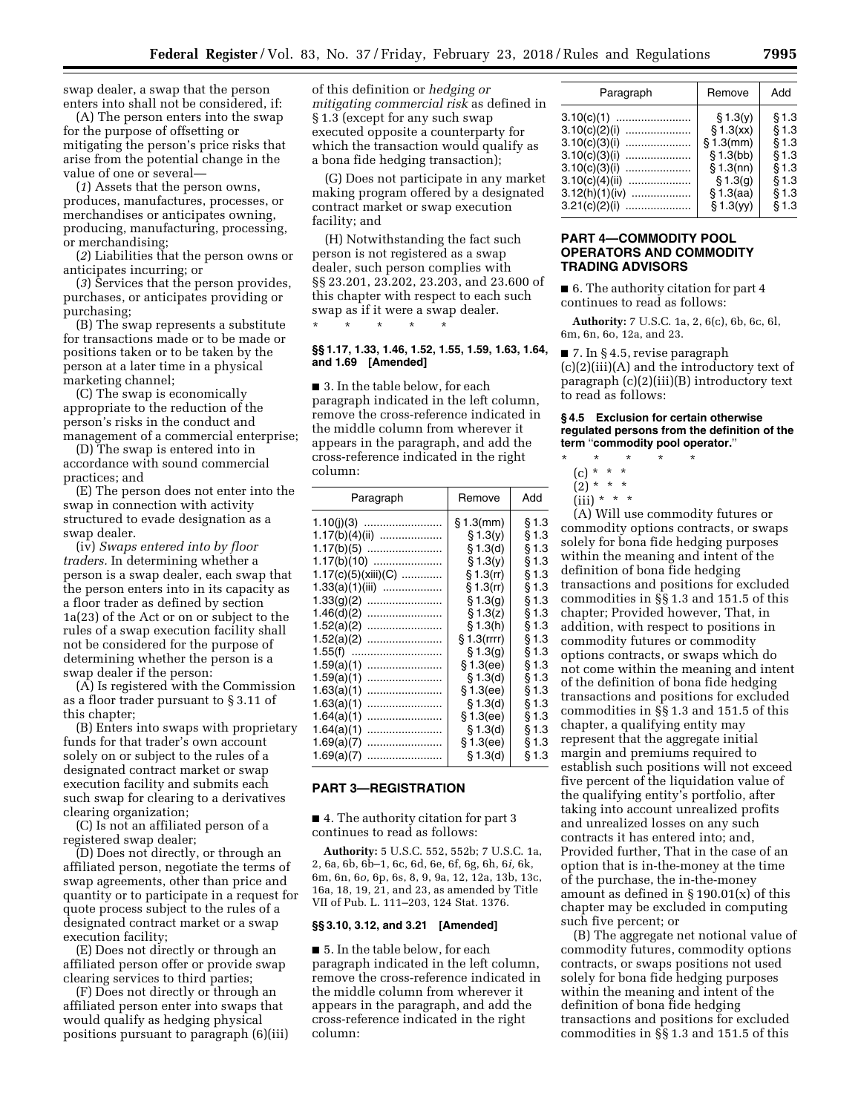swap dealer, a swap that the person enters into shall not be considered, if:

(A) The person enters into the swap for the purpose of offsetting or mitigating the person's price risks that arise from the potential change in the value of one or several—

(*1*) Assets that the person owns, produces, manufactures, processes, or merchandises or anticipates owning, producing, manufacturing, processing, or merchandising;

(*2*) Liabilities that the person owns or anticipates incurring; or

(*3*) Services that the person provides, purchases, or anticipates providing or purchasing;

(B) The swap represents a substitute for transactions made or to be made or positions taken or to be taken by the person at a later time in a physical marketing channel;

(C) The swap is economically appropriate to the reduction of the person's risks in the conduct and management of a commercial enterprise;

(D) The swap is entered into in accordance with sound commercial practices; and

(E) The person does not enter into the swap in connection with activity structured to evade designation as a swap dealer.

(iv) *Swaps entered into by floor traders.* In determining whether a person is a swap dealer, each swap that the person enters into in its capacity as a floor trader as defined by section 1a(23) of the Act or on or subject to the rules of a swap execution facility shall not be considered for the purpose of determining whether the person is a swap dealer if the person:

(A) Is registered with the Commission as a floor trader pursuant to § 3.11 of this chapter;

(B) Enters into swaps with proprietary funds for that trader's own account solely on or subject to the rules of a designated contract market or swap execution facility and submits each such swap for clearing to a derivatives clearing organization;

(C) Is not an affiliated person of a registered swap dealer;

(D) Does not directly, or through an affiliated person, negotiate the terms of swap agreements, other than price and quantity or to participate in a request for quote process subject to the rules of a designated contract market or a swap execution facility;

(E) Does not directly or through an affiliated person offer or provide swap clearing services to third parties;

(F) Does not directly or through an affiliated person enter into swaps that would qualify as hedging physical positions pursuant to paragraph (6)(iii) of this definition or *hedging or mitigating commercial risk* as defined in § 1.3 (except for any such swap executed opposite a counterparty for which the transaction would qualify as a bona fide hedging transaction);

(G) Does not participate in any market making program offered by a designated contract market or swap execution facility; and

(H) Notwithstanding the fact such person is not registered as a swap dealer, such person complies with §§ 23.201, 23.202, 23.203, and 23.600 of this chapter with respect to each such swap as if it were a swap dealer. \* \* \* \* \*

**§§ 1.17, 1.33, 1.46, 1.52, 1.55, 1.59, 1.63, 1.64, and 1.69 [Amended]** 

■ 3. In the table below, for each paragraph indicated in the left column, remove the cross-reference indicated in the middle column from wherever it appears in the paragraph, and add the cross-reference indicated in the right column:

| Paragraph           | Remove       | Add   |
|---------------------|--------------|-------|
|                     | $§ 1.3$ (mm) | § 1.3 |
| $1.17(b)(4)(ii)$    | § 1.3(y)     | § 1.3 |
|                     | \$1.3(d)     | § 1.3 |
| $1.17(b)(10)$       | \$1.3(v)     | § 1.3 |
| 1.17(c)(5)(xiii)(C) | $§ 1.3$ (rr) | § 1.3 |
| $1.33(a)(1)(iii)$   | $$1.3$ (rr)  | § 1.3 |
|                     | § 1.3(q)     | § 1.3 |
| 1.46(d)(2)<br>      | § 1.3(z)     | § 1.3 |
|                     | § 1.3(h)     | § 1.3 |
|                     | § 1.3(rrr)   | § 1.3 |
|                     | § 1.3(q)     | § 1.3 |
| 1.59(a)(1)          | § 1.3(ee)    | § 1.3 |
| 1.59(a)(1)          | § 1.3(d)     | § 1.3 |
| 1.63(a)(1)          | § 1.3(ee)    | § 1.3 |
| 1.63(a)(1)<br>      | § 1.3(d)     | § 1.3 |
| 1.64(a)(1)          | § 1.3(ee)    | § 1.3 |
| 1.64(a)(1)          | § 1.3(d)     | § 1.3 |
| 1.69(a)(7)<br>      | § 1.3(ee)    | § 1.3 |
| 1.69(a)(7)          | § 1.3(d)     | § 1.3 |

## **PART 3—REGISTRATION**

■ 4. The authority citation for part 3 continues to read as follows:

**Authority:** 5 U.S.C. 552, 552b; 7 U.S.C. 1a, 2, 6a, 6b, 6b–1, 6c, 6d, 6e, 6f, 6g, 6h, 6*i,* 6k, 6m, 6n, 6*o,* 6p, 6s, 8, 9, 9a, 12, 12a, 13b, 13c, 16a, 18, 19, 21, and 23, as amended by Title VII of Pub. L. 111–203, 124 Stat. 1376.

#### **§§ 3.10, 3.12, and 3.21 [Amended]**

■ 5. In the table below, for each paragraph indicated in the left column, remove the cross-reference indicated in the middle column from wherever it appears in the paragraph, and add the cross-reference indicated in the right column:

| Paragraph                                                                                                                                     | Remove                                                                                                     | Add                                                                  |
|-----------------------------------------------------------------------------------------------------------------------------------------------|------------------------------------------------------------------------------------------------------------|----------------------------------------------------------------------|
| 3.10(c)(1)<br>3.10(c)(2)(i)<br>3.10(c)(3)(i)<br>3.10(c)(3)(i)<br>3.10(c)(3)(i)<br>3.10(c)(4)(ii)<br>.<br>3.12(h)(1)(iv)<br>.<br>3.21(c)(2)(i) | \$1.3(y)<br>\$1.3(xx)<br>$$1.3$ (mm)<br>\$1.3(bb)<br>$§ 1.3$ (nn)<br>\$1.3(q)<br>$§ 1.3$ (aa)<br>\$1.3(yy) | § 1.3<br>§ 1.3<br>§ 1.3<br>§ 1.3<br>§ 1.3<br>§ 1.3<br>§ 1.3<br>§ 1.3 |
|                                                                                                                                               |                                                                                                            |                                                                      |

# **PART 4—COMMODITY POOL OPERATORS AND COMMODITY TRADING ADVISORS**

■ 6. The authority citation for part 4 continues to read as follows:

**Authority:** 7 U.S.C. 1a, 2, 6(c), 6b, 6c, 6l, 6m, 6n, 6o, 12a, and 23.

■ 7. In § 4.5, revise paragraph (c)(2)(iii)(A) and the introductory text of paragraph (c)(2)(iii)(B) introductory text to read as follows:

#### **§ 4.5 Exclusion for certain otherwise regulated persons from the definition of the term** ''**commodity pool operator.**''

- \* \* \* \* \*
	- (c) \* \* \*
	- $(2) * * * *$
	- $(iii) * * * *$

(A) Will use commodity futures or commodity options contracts, or swaps solely for bona fide hedging purposes within the meaning and intent of the definition of bona fide hedging transactions and positions for excluded commodities in §§ 1.3 and 151.5 of this chapter; Provided however, That, in addition, with respect to positions in commodity futures or commodity options contracts, or swaps which do not come within the meaning and intent of the definition of bona fide hedging transactions and positions for excluded commodities in §§ 1.3 and 151.5 of this chapter, a qualifying entity may represent that the aggregate initial margin and premiums required to establish such positions will not exceed five percent of the liquidation value of the qualifying entity's portfolio, after taking into account unrealized profits and unrealized losses on any such contracts it has entered into; and, Provided further, That in the case of an option that is in-the-money at the time of the purchase, the in-the-money amount as defined in  $\S 190.01(x)$  of this chapter may be excluded in computing such five percent; or

(B) The aggregate net notional value of commodity futures, commodity options contracts, or swaps positions not used solely for bona fide hedging purposes within the meaning and intent of the definition of bona fide hedging transactions and positions for excluded commodities in §§ 1.3 and 151.5 of this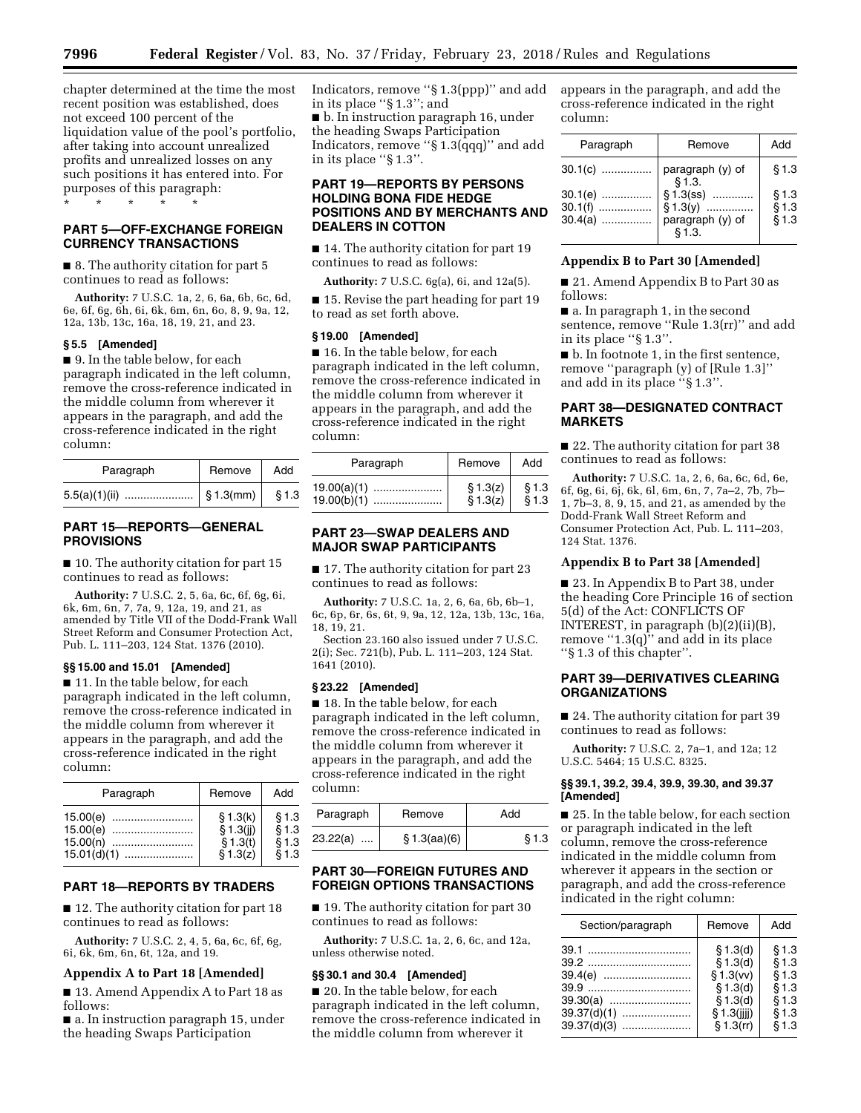**7996 Federal Register** / Vol. 83, No. 37 / Friday, February 23, 2018 / Rules and Regulations

chapter determined at the time the most recent position was established, does not exceed 100 percent of the liquidation value of the pool's portfolio, after taking into account unrealized profits and unrealized losses on any such positions it has entered into. For purposes of this paragraph: \* \* \* \* \*

# **PART 5—OFF-EXCHANGE FOREIGN CURRENCY TRANSACTIONS**

■ 8. The authority citation for part 5 continues to read as follows:

**Authority:** 7 U.S.C. 1a, 2, 6, 6a, 6b, 6c, 6d, 6e, 6f, 6g, 6h, 6i, 6k, 6m, 6n, 6o, 8, 9, 9a, 12, 12a, 13b, 13c, 16a, 18, 19, 21, and 23.

# **§ 5.5 [Amended]**

■ 9. In the table below, for each paragraph indicated in the left column, remove the cross-reference indicated in the middle column from wherever it appears in the paragraph, and add the cross-reference indicated in the right column:

| Paragraph | Remove      | Add         |
|-----------|-------------|-------------|
|           | $$1.3$ (mm) | <b>§1.3</b> |

# **PART 15—REPORTS—GENERAL PROVISIONS**

■ 10. The authority citation for part 15 continues to read as follows:

**Authority:** 7 U.S.C. 2, 5, 6a, 6c, 6f, 6g, 6i, 6k, 6m, 6n, 7, 7a, 9, 12a, 19, and 21, as amended by Title VII of the Dodd-Frank Wall Street Reform and Consumer Protection Act, Pub. L. 111–203, 124 Stat. 1376 (2010).

#### **§§ 15.00 and 15.01 [Amended]**

■ 11. In the table below, for each paragraph indicated in the left column, remove the cross-reference indicated in the middle column from wherever it appears in the paragraph, and add the cross-reference indicated in the right column:

| Paragraph     | Remove    | Add   |
|---------------|-----------|-------|
| 15.00(e)      | \$1.3(k)  | § 1.3 |
| 15.00(e)      | \$1.3(ii) | § 1.3 |
| $15.00(n)$    | \$1.3(t)  | § 1.3 |
| $15.01(d)(1)$ | \$1.3(z)  | \$1.3 |

# **PART 18—REPORTS BY TRADERS**

■ 12. The authority citation for part 18 continues to read as follows:

**Authority:** 7 U.S.C. 2, 4, 5, 6a, 6c, 6f, 6g, 6i, 6k, 6m, 6n, 6t, 12a, and 19.

## **Appendix A to Part 18 [Amended]**

■ 13. Amend Appendix A to Part 18 as follows:

■ a. In instruction paragraph 15, under the heading Swaps Participation

Indicators, remove ''§ 1.3(ppp)'' and add in its place ''§ 1.3''; and ■ b. In instruction paragraph 16, under the heading Swaps Participation Indicators, remove ''§ 1.3(qqq)'' and add in its place ''§ 1.3''.

# **PART 19—REPORTS BY PERSONS HOLDING BONA FIDE HEDGE POSITIONS AND BY MERCHANTS AND DEALERS IN COTTON**

■ 14. The authority citation for part 19 continues to read as follows:

**Authority:** 7 U.S.C. 6g(a), 6i, and 12a(5).

■ 15. Revise the part heading for part 19 to read as set forth above.

#### **§ 19.00 [Amended]**

■ 16. In the table below, for each paragraph indicated in the left column, remove the cross-reference indicated in the middle column from wherever it appears in the paragraph, and add the cross-reference indicated in the right column:

| Paragraph     | Remove                        | Add   |
|---------------|-------------------------------|-------|
| $19.00(a)(1)$ | § 1.3(z)                      | § 1.3 |
|               | $\check{S}$ 1.3 $\check{z}$ ) | \$1.3 |

# **PART 23—SWAP DEALERS AND MAJOR SWAP PARTICIPANTS**

■ 17. The authority citation for part 23 continues to read as follows:

**Authority:** 7 U.S.C. 1a, 2, 6, 6a, 6b, 6b–1, 6c, 6p, 6r, 6s, 6t, 9, 9a, 12, 12a, 13b, 13c, 16a, 18, 19, 21.

Section 23.160 also issued under 7 U.S.C. 2(i); Sec. 721(b), Pub. L. 111–203, 124 Stat. 1641 (2010).

#### **§ 23.22 [Amended]**

■ 18. In the table below, for each paragraph indicated in the left column, remove the cross-reference indicated in the middle column from wherever it appears in the paragraph, and add the cross-reference indicated in the right column:

| Paragraph            | Remove       | Add   |  |
|----------------------|--------------|-------|--|
| 23.22(a)<br>$\cdots$ | \$1.3(aa)(6) | § 1.3 |  |

# **PART 30—FOREIGN FUTURES AND FOREIGN OPTIONS TRANSACTIONS**

■ 19. The authority citation for part 30 continues to read as follows:

**Authority:** 7 U.S.C. 1a, 2, 6, 6c, and 12a, unless otherwise noted.

# **§§ 30.1 and 30.4 [Amended]**

■ 20. In the table below, for each paragraph indicated in the left column, remove the cross-reference indicated in the middle column from wherever it

appears in the paragraph, and add the cross-reference indicated in the right column:

| Paragraph                           | Remove                                                  | Add                     |
|-------------------------------------|---------------------------------------------------------|-------------------------|
| $30.1(c)$                           | paragraph (y) of<br>§ 1.3.                              | § 1.3                   |
| $30.1(e)$<br>$30.1(f)$<br>$30.4(a)$ | $§ 1.3$ (ss)<br>$$1.3(y)$<br>paragraph (y) of<br>\$1.3. | § 1.3<br>§ 1.3<br>§ 1.3 |

## **Appendix B to Part 30 [Amended]**

■ 21. Amend Appendix B to Part 30 as follows:

■ a. In paragraph 1, in the second sentence, remove ''Rule 1.3(rr)'' and add in its place " $\S 1.3$ ".

■ b. In footnote 1, in the first sentence, remove ''paragraph (y) of [Rule 1.3]'' and add in its place ''§ 1.3''.

# **PART 38—DESIGNATED CONTRACT MARKETS**

■ 22. The authority citation for part 38 continues to read as follows:

**Authority:** 7 U.S.C. 1a, 2, 6, 6a, 6c, 6d, 6e, 6f, 6g, 6i, 6j, 6k, 6l, 6m, 6n, 7, 7a–2, 7b, 7b– 1, 7b–3, 8, 9, 15, and 21, as amended by the Dodd-Frank Wall Street Reform and Consumer Protection Act, Pub. L. 111–203, 124 Stat. 1376.

# **Appendix B to Part 38 [Amended]**

■ 23. In Appendix B to Part 38, under the heading Core Principle 16 of section 5(d) of the Act: CONFLICTS OF INTEREST, in paragraph (b)(2)(ii)(B), remove  $(1.3(q)$ " and add in its place ''§ 1.3 of this chapter''.

# **PART 39—DERIVATIVES CLEARING ORGANIZATIONS**

■ 24. The authority citation for part 39 continues to read as follows:

**Authority:** 7 U.S.C. 2, 7a–1, and 12a; 12 U.S.C. 5464; 15 U.S.C. 8325.

#### **§§ 39.1, 39.2, 39.4, 39.9, 39.30, and 39.37 [Amended]**

■ 25. In the table below, for each section or paragraph indicated in the left column, remove the cross-reference indicated in the middle column from wherever it appears in the section or paragraph, and add the cross-reference indicated in the right column:

| Section/paragraph | Remove      | Add   |
|-------------------|-------------|-------|
|                   | § 1.3(d)    | \$1.3 |
|                   | \$1.3(d)    | § 1.3 |
|                   | \$1.3(vv)   | § 1.3 |
|                   | \$1.3(d)    | § 1.3 |
| 39.30(a)          | \$1.3(d)    | § 1.3 |
| $39.37(d)(1)$     | § 1.3(iii)  | § 1.3 |
| $39.37(d)(3)$     | $$1.3$ (rr) | § 1.3 |